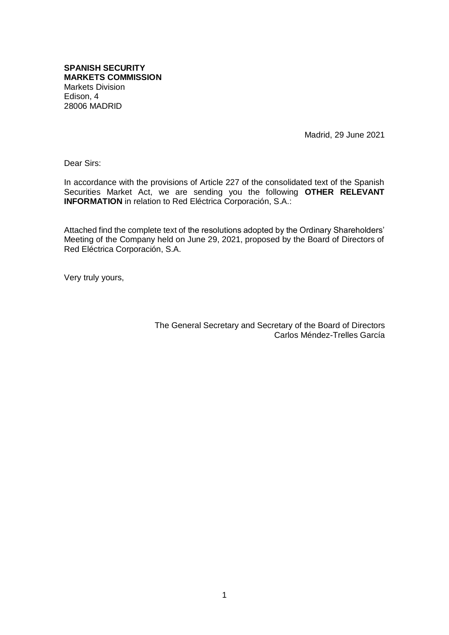**SPANISH SECURITY MARKETS COMMISSION** Markets Division Edison, 4 28006 MADRID

Madrid, 29 June 2021

Dear Sirs:

In accordance with the provisions of Article 227 of the consolidated text of the Spanish Securities Market Act, we are sending you the following **OTHER RELEVANT INFORMATION** in relation to Red Eléctrica Corporación, S.A.:

Attached find the complete text of the resolutions adopted by the Ordinary Shareholders' Meeting of the Company held on June 29, 2021, proposed by the Board of Directors of Red Eléctrica Corporación, S.A.

Very truly yours,

The General Secretary and Secretary of the Board of Directors Carlos Méndez-Trelles García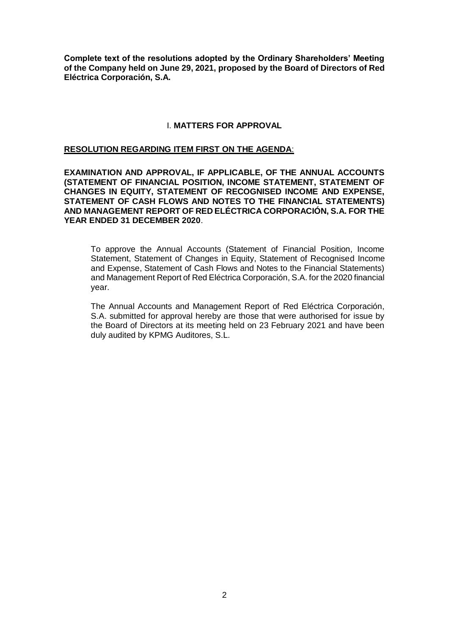**Complete text of the resolutions adopted by the Ordinary Shareholders' Meeting of the Company held on June 29, 2021, proposed by the Board of Directors of Red Eléctrica Corporación, S.A.**

## I. **MATTERS FOR APPROVAL**

### **RESOLUTION REGARDING ITEM FIRST ON THE AGENDA**:

**EXAMINATION AND APPROVAL, IF APPLICABLE, OF THE ANNUAL ACCOUNTS (STATEMENT OF FINANCIAL POSITION, INCOME STATEMENT, STATEMENT OF CHANGES IN EQUITY, STATEMENT OF RECOGNISED INCOME AND EXPENSE, STATEMENT OF CASH FLOWS AND NOTES TO THE FINANCIAL STATEMENTS) AND MANAGEMENT REPORT OF RED ELÉCTRICA CORPORACIÓN, S.A. FOR THE YEAR ENDED 31 DECEMBER 2020**.

To approve the Annual Accounts (Statement of Financial Position, Income Statement, Statement of Changes in Equity, Statement of Recognised Income and Expense, Statement of Cash Flows and Notes to the Financial Statements) and Management Report of Red Eléctrica Corporación, S.A. for the 2020 financial year.

The Annual Accounts and Management Report of Red Eléctrica Corporación, S.A. submitted for approval hereby are those that were authorised for issue by the Board of Directors at its meeting held on 23 February 2021 and have been duly audited by KPMG Auditores, S.L.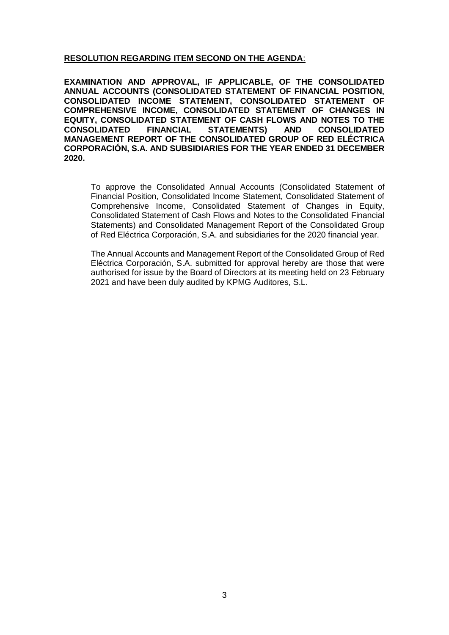# **RESOLUTION REGARDING ITEM SECOND ON THE AGENDA**:

**EXAMINATION AND APPROVAL, IF APPLICABLE, OF THE CONSOLIDATED ANNUAL ACCOUNTS (CONSOLIDATED STATEMENT OF FINANCIAL POSITION, CONSOLIDATED INCOME STATEMENT, CONSOLIDATED STATEMENT OF COMPREHENSIVE INCOME, CONSOLIDATED STATEMENT OF CHANGES IN EQUITY, CONSOLIDATED STATEMENT OF CASH FLOWS AND NOTES TO THE CONSOLIDATED FINANCIAL STATEMENTS) AND CONSOLIDATED MANAGEMENT REPORT OF THE CONSOLIDATED GROUP OF RED ELÉCTRICA CORPORACIÓN, S.A. AND SUBSIDIARIES FOR THE YEAR ENDED 31 DECEMBER 2020.**

To approve the Consolidated Annual Accounts (Consolidated Statement of Financial Position, Consolidated Income Statement, Consolidated Statement of Comprehensive Income, Consolidated Statement of Changes in Equity, Consolidated Statement of Cash Flows and Notes to the Consolidated Financial Statements) and Consolidated Management Report of the Consolidated Group of Red Eléctrica Corporación, S.A. and subsidiaries for the 2020 financial year.

The Annual Accounts and Management Report of the Consolidated Group of Red Eléctrica Corporación, S.A. submitted for approval hereby are those that were authorised for issue by the Board of Directors at its meeting held on 23 February 2021 and have been duly audited by KPMG Auditores, S.L.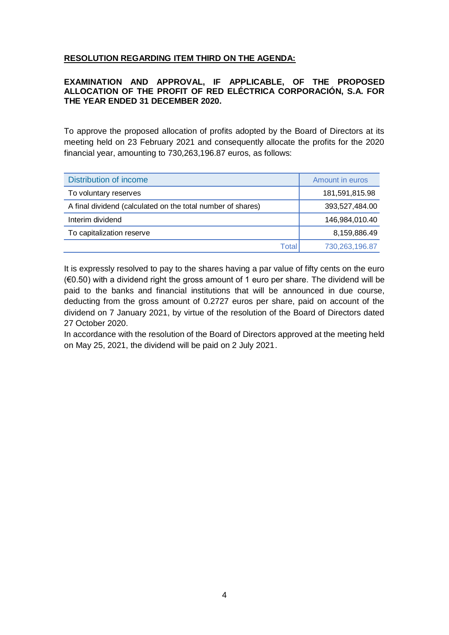# **RESOLUTION REGARDING ITEM THIRD ON THE AGENDA:**

## **EXAMINATION AND APPROVAL, IF APPLICABLE, OF THE PROPOSED ALLOCATION OF THE PROFIT OF RED ELÉCTRICA CORPORACIÓN, S.A. FOR THE YEAR ENDED 31 DECEMBER 2020.**

To approve the proposed allocation of profits adopted by the Board of Directors at its meeting held on 23 February 2021 and consequently allocate the profits for the 2020 financial year, amounting to 730,263,196.87 euros, as follows:

| <b>Distribution of income</b>                               | Amount in euros |
|-------------------------------------------------------------|-----------------|
| To voluntary reserves                                       | 181,591,815.98  |
| A final dividend (calculated on the total number of shares) | 393,527,484.00  |
| Interim dividend                                            | 146,984,010.40  |
| To capitalization reserve                                   | 8,159,886.49    |
| Total                                                       | 730,263,196.87  |

It is expressly resolved to pay to the shares having a par value of fifty cents on the euro  $(60.50)$  with a dividend right the gross amount of 1 euro per share. The dividend will be paid to the banks and financial institutions that will be announced in due course, deducting from the gross amount of 0.2727 euros per share, paid on account of the dividend on 7 January 2021, by virtue of the resolution of the Board of Directors dated 27 October 2020.

In accordance with the resolution of the Board of Directors approved at the meeting held on May 25, 2021, the dividend will be paid on 2 July 2021.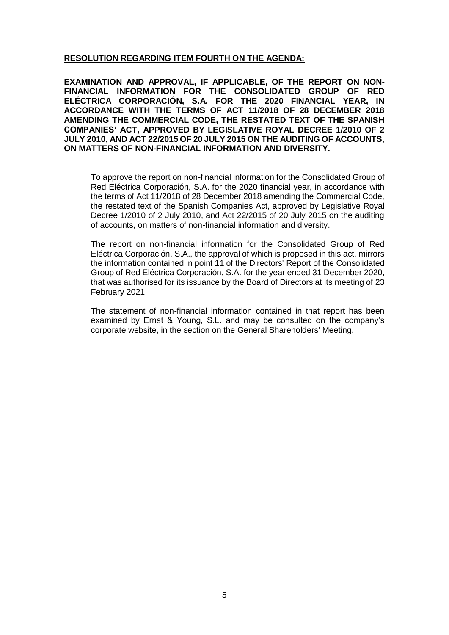## **RESOLUTION REGARDING ITEM FOURTH ON THE AGENDA:**

**EXAMINATION AND APPROVAL, IF APPLICABLE, OF THE REPORT ON NON-FINANCIAL INFORMATION FOR THE CONSOLIDATED GROUP OF RED ELÉCTRICA CORPORACIÓN, S.A. FOR THE 2020 FINANCIAL YEAR, IN ACCORDANCE WITH THE TERMS OF ACT 11/2018 OF 28 DECEMBER 2018 AMENDING THE COMMERCIAL CODE, THE RESTATED TEXT OF THE SPANISH COMPANIES' ACT, APPROVED BY LEGISLATIVE ROYAL DECREE 1/2010 OF 2 JULY 2010, AND ACT 22/2015 OF 20 JULY 2015 ON THE AUDITING OF ACCOUNTS, ON MATTERS OF NON-FINANCIAL INFORMATION AND DIVERSITY.**

To approve the report on non-financial information for the Consolidated Group of Red Eléctrica Corporación, S.A. for the 2020 financial year, in accordance with the terms of Act 11/2018 of 28 December 2018 amending the Commercial Code, the restated text of the Spanish Companies Act, approved by Legislative Royal Decree 1/2010 of 2 July 2010, and Act 22/2015 of 20 July 2015 on the auditing of accounts, on matters of non-financial information and diversity.

The report on non-financial information for the Consolidated Group of Red Eléctrica Corporación, S.A., the approval of which is proposed in this act, mirrors the information contained in point 11 of the Directors' Report of the Consolidated Group of Red Eléctrica Corporación, S.A. for the year ended 31 December 2020, that was authorised for its issuance by the Board of Directors at its meeting of 23 February 2021.

The statement of non-financial information contained in that report has been examined by Ernst & Young, S.L. and may be consulted on the company's corporate website, in the section on the General Shareholders' Meeting.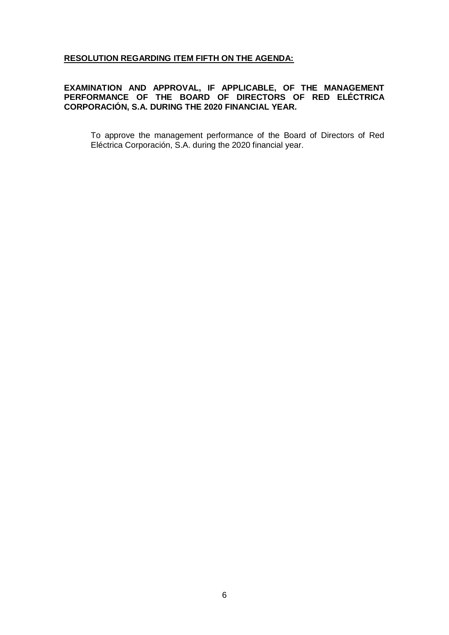## **RESOLUTION REGARDING ITEM FIFTH ON THE AGENDA:**

## **EXAMINATION AND APPROVAL, IF APPLICABLE, OF THE MANAGEMENT PERFORMANCE OF THE BOARD OF DIRECTORS OF RED ELÉCTRICA CORPORACIÓN, S.A. DURING THE 2020 FINANCIAL YEAR.**

To approve the management performance of the Board of Directors of Red Eléctrica Corporación, S.A. during the 2020 financial year.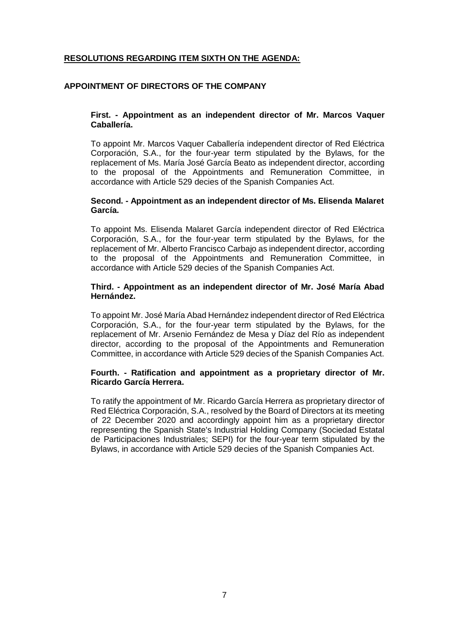# **RESOLUTIONS REGARDING ITEM SIXTH ON THE AGENDA:**

## **APPOINTMENT OF DIRECTORS OF THE COMPANY**

### **First. - Appointment as an independent director of Mr. Marcos Vaquer Caballería.**

To appoint Mr. Marcos Vaquer Caballería independent director of Red Eléctrica Corporación, S.A., for the four-year term stipulated by the Bylaws, for the replacement of Ms. María José García Beato as independent director, according to the proposal of the Appointments and Remuneration Committee, in accordance with Article 529 decies of the Spanish Companies Act.

#### **Second. - Appointment as an independent director of Ms. Elisenda Malaret García.**

To appoint Ms. Elisenda Malaret García independent director of Red Eléctrica Corporación, S.A., for the four-year term stipulated by the Bylaws, for the replacement of Mr. Alberto Francisco Carbajo as independent director, according to the proposal of the Appointments and Remuneration Committee, in accordance with Article 529 decies of the Spanish Companies Act.

#### **Third. - Appointment as an independent director of Mr. José María Abad Hernández.**

To appoint Mr. José María Abad Hernández independent director of Red Eléctrica Corporación, S.A., for the four-year term stipulated by the Bylaws, for the replacement of Mr. Arsenio Fernández de Mesa y Díaz del Río as independent director, according to the proposal of the Appointments and Remuneration Committee, in accordance with Article 529 decies of the Spanish Companies Act.

### **Fourth. - Ratification and appointment as a proprietary director of Mr. Ricardo García Herrera.**

To ratify the appointment of Mr. Ricardo García Herrera as proprietary director of Red Eléctrica Corporación, S.A., resolved by the Board of Directors at its meeting of 22 December 2020 and accordingly appoint him as a proprietary director representing the Spanish State's Industrial Holding Company (Sociedad Estatal de Participaciones Industriales; SEPI) for the four-year term stipulated by the Bylaws, in accordance with Article 529 decies of the Spanish Companies Act.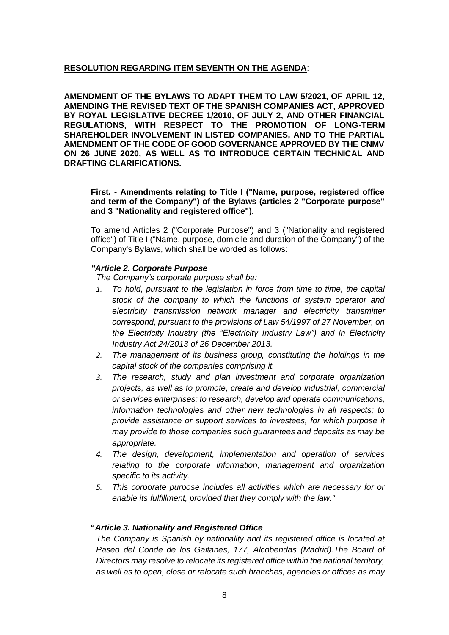## **RESOLUTION REGARDING ITEM SEVENTH ON THE AGENDA**:

**AMENDMENT OF THE BYLAWS TO ADAPT THEM TO LAW 5/2021, OF APRIL 12, AMENDING THE REVISED TEXT OF THE SPANISH COMPANIES ACT, APPROVED BY ROYAL LEGISLATIVE DECREE 1/2010, OF JULY 2, AND OTHER FINANCIAL REGULATIONS, WITH RESPECT TO THE PROMOTION OF LONG-TERM SHAREHOLDER INVOLVEMENT IN LISTED COMPANIES, AND TO THE PARTIAL AMENDMENT OF THE CODE OF GOOD GOVERNANCE APPROVED BY THE CNMV ON 26 JUNE 2020, AS WELL AS TO INTRODUCE CERTAIN TECHNICAL AND DRAFTING CLARIFICATIONS.**

**First. - Amendments relating to Title I ("Name, purpose, registered office and term of the Company") of the Bylaws (articles 2 "Corporate purpose" and 3 "Nationality and registered office").** 

To amend Articles 2 ("Corporate Purpose") and 3 ("Nationality and registered office") of Title I ("Name, purpose, domicile and duration of the Company") of the Company's Bylaws, which shall be worded as follows:

### *"Article 2. Corporate Purpose*

*The Company's corporate purpose shall be:*

- *1. To hold, pursuant to the legislation in force from time to time, the capital stock of the company to which the functions of system operator and electricity transmission network manager and electricity transmitter correspond, pursuant to the provisions of Law 54/1997 of 27 November, on the Electricity Industry (the "Electricity Industry Law") and in Electricity Industry Act 24/2013 of 26 December 2013.*
- *2. The management of its business group, constituting the holdings in the capital stock of the companies comprising it.*
- *3. The research, study and plan investment and corporate organization projects, as well as to promote, create and develop industrial, commercial or services enterprises; to research, develop and operate communications, information technologies and other new technologies in all respects; to provide assistance or support services to investees, for which purpose it may provide to those companies such guarantees and deposits as may be appropriate.*
- *4. The design, development, implementation and operation of services relating to the corporate information, management and organization specific to its activity.*
- *5. This corporate purpose includes all activities which are necessary for or enable its fulfillment, provided that they comply with the law."*

#### **"***Article 3. Nationality and Registered Office*

*The Company is Spanish by nationality and its registered office is located at Paseo del Conde de los Gaitanes, 177, Alcobendas (Madrid).The Board of Directors may resolve to relocate its registered office within the national territory, as well as to open, close or relocate such branches, agencies or offices as may*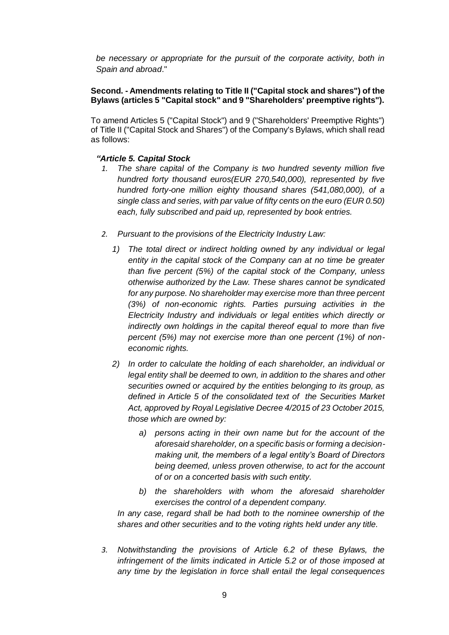be necessary or appropriate for the pursuit of the corporate activity, both in *Spain and abroad*."

### **Second. - Amendments relating to Title II ("Capital stock and shares") of the Bylaws (articles 5 "Capital stock" and 9 "Shareholders' preemptive rights").**

To amend Articles 5 ("Capital Stock") and 9 ("Shareholders' Preemptive Rights") of Title II ("Capital Stock and Shares") of the Company's Bylaws, which shall read as follows:

## *"Article 5. Capital Stock*

- *1. The share capital of the Company is two hundred seventy million five hundred forty thousand euros(EUR 270,540,000), represented by five hundred forty-one million eighty thousand shares (541,080,000), of a single class and series, with par value of fifty cents on the euro (EUR 0.50) each, fully subscribed and paid up, represented by book entries.*
- *2. Pursuant to the provisions of the Electricity Industry Law:*
	- *1) The total direct or indirect holding owned by any individual or legal entity in the capital stock of the Company can at no time be greater than five percent (5%) of the capital stock of the Company, unless otherwise authorized by the Law. These shares cannot be syndicated for any purpose. No shareholder may exercise more than three percent (3%) of non-economic rights. Parties pursuing activities in the Electricity Industry and individuals or legal entities which directly or indirectly own holdings in the capital thereof equal to more than five percent (5%) may not exercise more than one percent (1%) of noneconomic rights.*
	- *2) In order to calculate the holding of each shareholder, an individual or legal entity shall be deemed to own, in addition to the shares and other securities owned or acquired by the entities belonging to its group, as defined in Article 5 of the consolidated text of the Securities Market Act, approved by Royal Legislative Decree 4/2015 of 23 October 2015, those which are owned by:*
		- *a) persons acting in their own name but for the account of the aforesaid shareholder, on a specific basis or forming a decisionmaking unit, the members of a legal entity's Board of Directors being deemed, unless proven otherwise, to act for the account of or on a concerted basis with such entity.*
		- *b) the shareholders with whom the aforesaid shareholder exercises the control of a dependent company.*

*In any case, regard shall be had both to the nominee ownership of the shares and other securities and to the voting rights held under any title.*

*3. Notwithstanding the provisions of Article 6.2 of these Bylaws, the infringement of the limits indicated in Article 5.2 or of those imposed at any time by the legislation in force shall entail the legal consequences*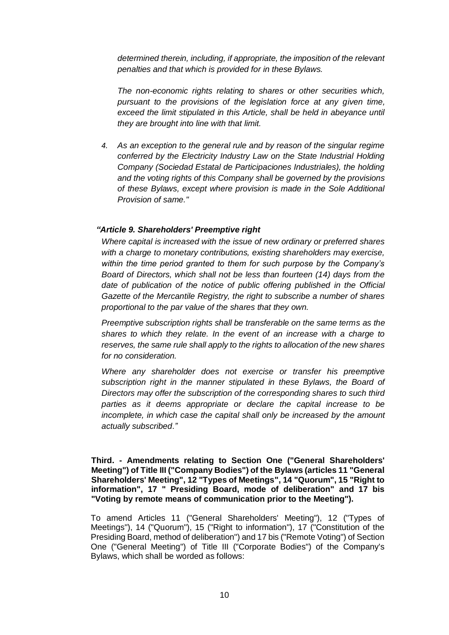*determined therein, including, if appropriate, the imposition of the relevant penalties and that which is provided for in these Bylaws.*

*The non-economic rights relating to shares or other securities which, pursuant to the provisions of the legislation force at any given time, exceed the limit stipulated in this Article, shall be held in abeyance until they are brought into line with that limit.*

*4. As an exception to the general rule and by reason of the singular regime conferred by the Electricity Industry Law on the State Industrial Holding Company (Sociedad Estatal de Participaciones Industriales), the holding and the voting rights of this Company shall be governed by the provisions of these Bylaws, except where provision is made in the Sole Additional Provision of same."*

## *"Article 9. Shareholders' Preemptive right*

*Where capital is increased with the issue of new ordinary or preferred shares with a charge to monetary contributions, existing shareholders may exercise, within the time period granted to them for such purpose by the Company's Board of Directors, which shall not be less than fourteen (14) days from the*  date of publication of the notice of public offering published in the Official *Gazette of the Mercantile Registry, the right to subscribe a number of shares proportional to the par value of the shares that they own.*

*Preemptive subscription rights shall be transferable on the same terms as the shares to which they relate. In the event of an increase with a charge to reserves, the same rule shall apply to the rights to allocation of the new shares for no consideration.*

*Where any shareholder does not exercise or transfer his preemptive subscription right in the manner stipulated in these Bylaws, the Board of Directors may offer the subscription of the corresponding shares to such third parties as it deems appropriate or declare the capital increase to be incomplete, in which case the capital shall only be increased by the amount actually subscribed*.*"*

**Third. - Amendments relating to Section One ("General Shareholders' Meeting") of Title III ("Company Bodies") of the Bylaws (articles 11 "General Shareholders' Meeting", 12 "Types of Meetings", 14 "Quorum", 15 "Right to information", 17 " Presiding Board, mode of deliberation" and 17 bis "Voting by remote means of communication prior to the Meeting").** 

To amend Articles 11 ("General Shareholders' Meeting"), 12 ("Types of Meetings"), 14 ("Quorum"), 15 ("Right to information"), 17 ("Constitution of the Presiding Board, method of deliberation") and 17 bis ("Remote Voting") of Section One ("General Meeting") of Title III ("Corporate Bodies") of the Company's Bylaws, which shall be worded as follows: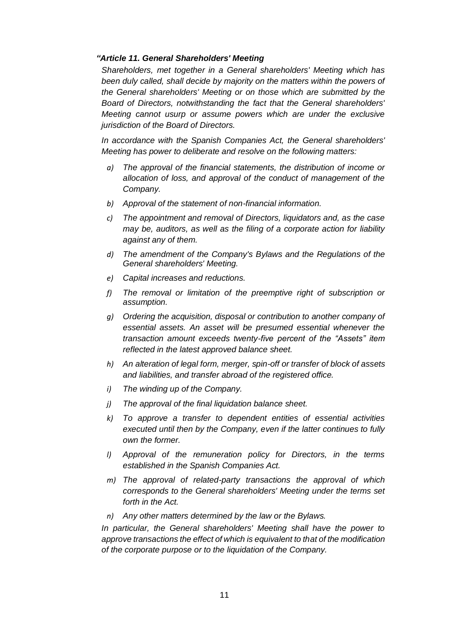## *"Article 11. General Shareholders' Meeting*

*Shareholders, met together in a General shareholders' Meeting which has*  been duly called, shall decide by majority on the matters within the powers of *the General shareholders' Meeting or on those which are submitted by the Board of Directors, notwithstanding the fact that the General shareholders' Meeting cannot usurp or assume powers which are under the exclusive jurisdiction of the Board of Directors.*

*In accordance with the Spanish Companies Act, the General shareholders' Meeting has power to deliberate and resolve on the following matters:*

- *a) The approval of the financial statements, the distribution of income or allocation of loss, and approval of the conduct of management of the Company.*
- *b) Approval of the statement of non-financial information.*
- *c) The appointment and removal of Directors, liquidators and, as the case may be, auditors, as well as the filing of a corporate action for liability against any of them.*
- *d) The amendment of the Company's Bylaws and the Regulations of the General shareholders' Meeting.*
- *e) Capital increases and reductions.*
- *f) The removal or limitation of the preemptive right of subscription or assumption.*
- *g) Ordering the acquisition, disposal or contribution to another company of essential assets. An asset will be presumed essential whenever the transaction amount exceeds twenty-five percent of the "Assets" item reflected in the latest approved balance sheet.*
- *h) An alteration of legal form, merger, spin-off or transfer of block of assets and liabilities, and transfer abroad of the registered office.*
- *i) The winding up of the Company.*
- *j) The approval of the final liquidation balance sheet.*
- *k) To approve a transfer to dependent entities of essential activities executed until then by the Company, even if the latter continues to fully own the former.*
- *l) Approval of the remuneration policy for Directors, in the terms established in the Spanish Companies Act.*
- *m) The approval of related-party transactions the approval of which corresponds to the General shareholders' Meeting under the terms set forth in the Act.*
- *n) Any other matters determined by the law or the Bylaws.*

*In particular, the General shareholders' Meeting shall have the power to approve transactions the effect of which is equivalent to that of the modification of the corporate purpose or to the liquidation of the Company.*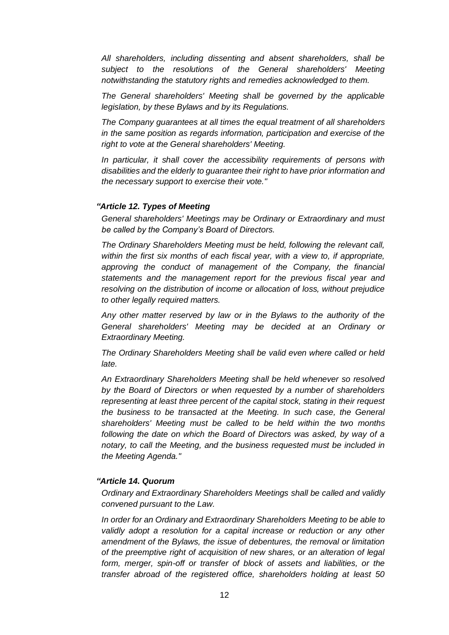*All shareholders, including dissenting and absent shareholders, shall be subject to the resolutions of the General shareholders' Meeting notwithstanding the statutory rights and remedies acknowledged to them.*

*The General shareholders' Meeting shall be governed by the applicable legislation, by these Bylaws and by its Regulations.*

*The Company guarantees at all times the equal treatment of all shareholders in the same position as regards information, participation and exercise of the right to vote at the General shareholders' Meeting.*

*In particular, it shall cover the accessibility requirements of persons with disabilities and the elderly to guarantee their right to have prior information and the necessary support to exercise their vote."*

### *"Article 12. Types of Meeting*

*General shareholders' Meetings may be Ordinary or Extraordinary and must be called by the Company's Board of Directors.*

*The Ordinary Shareholders Meeting must be held, following the relevant call, within the first six months of each fiscal year, with a view to, if appropriate, approving the conduct of management of the Company, the financial statements and the management report for the previous fiscal year and resolving on the distribution of income or allocation of loss, without prejudice to other legally required matters.*

*Any other matter reserved by law or in the Bylaws to the authority of the General shareholders' Meeting may be decided at an Ordinary or Extraordinary Meeting.*

*The Ordinary Shareholders Meeting shall be valid even where called or held late.*

*An Extraordinary Shareholders Meeting shall be held whenever so resolved by the Board of Directors or when requested by a number of shareholders representing at least three percent of the capital stock, stating in their request the business to be transacted at the Meeting. In such case, the General shareholders' Meeting must be called to be held within the two months following the date on which the Board of Directors was asked, by way of a notary, to call the Meeting, and the business requested must be included in the Meeting Agenda."*

## *"Article 14. Quorum*

*Ordinary and Extraordinary Shareholders Meetings shall be called and validly convened pursuant to the Law.*

*In order for an Ordinary and Extraordinary Shareholders Meeting to be able to validly adopt a resolution for a capital increase or reduction or any other amendment of the Bylaws, the issue of debentures, the removal or limitation of the preemptive right of acquisition of new shares, or an alteration of legal form, merger, spin-off or transfer of block of assets and liabilities, or the transfer abroad of the registered office, shareholders holding at least 50*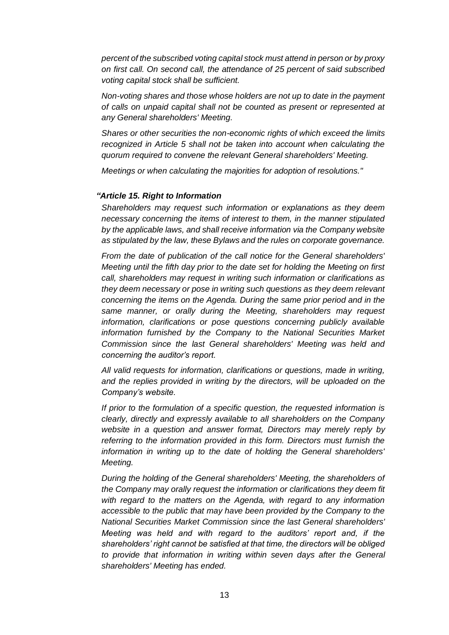*percent of the subscribed voting capital stock must attend in person or by proxy on first call. On second call, the attendance of 25 percent of said subscribed voting capital stock shall be sufficient.*

*Non-voting shares and those whose holders are not up to date in the payment of calls on unpaid capital shall not be counted as present or represented at any General shareholders' Meeting.*

*Shares or other securities the non-economic rights of which exceed the limits recognized in Article 5 shall not be taken into account when calculating the quorum required to convene the relevant General shareholders' Meeting.*

*Meetings or when calculating the majorities for adoption of resolutions."*

#### *"Article 15. Right to Information*

*Shareholders may request such information or explanations as they deem necessary concerning the items of interest to them, in the manner stipulated by the applicable laws, and shall receive information via the Company website as stipulated by the law, these Bylaws and the rules on corporate governance.*

*From the date of publication of the call notice for the General shareholders' Meeting until the fifth day prior to the date set for holding the Meeting on first call, shareholders may request in writing such information or clarifications as they deem necessary or pose in writing such questions as they deem relevant concerning the items on the Agenda. During the same prior period and in the same manner, or orally during the Meeting, shareholders may request information, clarifications or pose questions concerning publicly available information furnished by the Company to the National Securities Market Commission since the last General shareholders' Meeting was held and concerning the auditor's report.*

*All valid requests for information, clarifications or questions, made in writing, and the replies provided in writing by the directors, will be uploaded on the Company's website.*

*If prior to the formulation of a specific question, the requested information is clearly, directly and expressly available to all shareholders on the Company website in a question and answer format, Directors may merely reply by referring to the information provided in this form. Directors must furnish the information in writing up to the date of holding the General shareholders' Meeting.*

*During the holding of the General shareholders' Meeting, the shareholders of the Company may orally request the information or clarifications they deem fit with regard to the matters on the Agenda, with regard to any information accessible to the public that may have been provided by the Company to the National Securities Market Commission since the last General shareholders' Meeting was held and with regard to the auditors' report and, if the shareholders' right cannot be satisfied at that time, the directors will be obliged to provide that information in writing within seven days after the General shareholders' Meeting has ended.*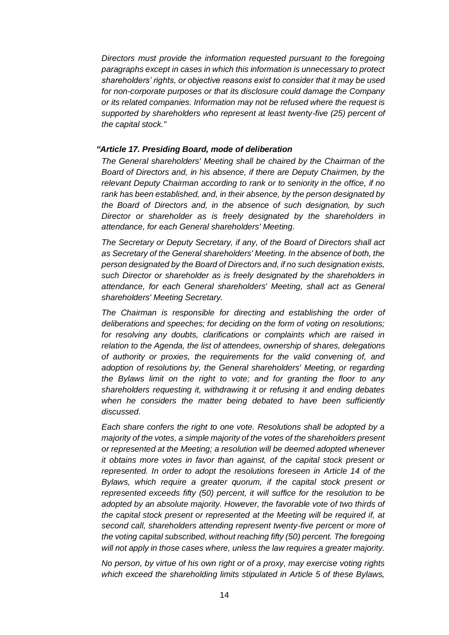*Directors must provide the information requested pursuant to the foregoing paragraphs except in cases in which this information is unnecessary to protect shareholders' rights, or objective reasons exist to consider that it may be used for non-corporate purposes or that its disclosure could damage the Company or its related companies. Information may not be refused where the request is supported by shareholders who represent at least twenty-five (25) percent of the capital stock."*

### *"Article 17. Presiding Board, mode of deliberation*

*The General shareholders' Meeting shall be chaired by the Chairman of the Board of Directors and, in his absence, if there are Deputy Chairmen, by the relevant Deputy Chairman according to rank or to seniority in the office, if no rank has been established, and, in their absence, by the person designated by the Board of Directors and, in the absence of such designation, by such Director or shareholder as is freely designated by the shareholders in attendance, for each General shareholders' Meeting.*

*The Secretary or Deputy Secretary, if any, of the Board of Directors shall act as Secretary of the General shareholders' Meeting. In the absence of both, the person designated by the Board of Directors and, if no such designation exists, such Director or shareholder as is freely designated by the shareholders in attendance, for each General shareholders' Meeting, shall act as General shareholders' Meeting Secretary.*

*The Chairman is responsible for directing and establishing the order of deliberations and speeches; for deciding on the form of voting on resolutions; for resolving any doubts, clarifications or complaints which are raised in relation to the Agenda, the list of attendees, ownership of shares, delegations of authority or proxies, the requirements for the valid convening of, and adoption of resolutions by, the General shareholders' Meeting, or regarding the Bylaws limit on the right to vote; and for granting the floor to any shareholders requesting it, withdrawing it or refusing it and ending debates when he considers the matter being debated to have been sufficiently discussed.*

*Each share confers the right to one vote. Resolutions shall be adopted by a majority of the votes, a simple majority of the votes of the shareholders present or represented at the Meeting; a resolution will be deemed adopted whenever it obtains more votes in favor than against, of the capital stock present or represented. In order to adopt the resolutions foreseen in Article 14 of the Bylaws, which require a greater quorum, if the capital stock present or represented exceeds fifty (50) percent, it will suffice for the resolution to be*  adopted by an absolute majority. However, the favorable vote of two thirds of *the capital stock present or represented at the Meeting will be required if, at second call, shareholders attending represent twenty-five percent or more of the voting capital subscribed, without reaching fifty (50) percent. The foregoing will not apply in those cases where, unless the law requires a greater majority.*

*No person, by virtue of his own right or of a proxy, may exercise voting rights which exceed the shareholding limits stipulated in Article 5 of these Bylaws,*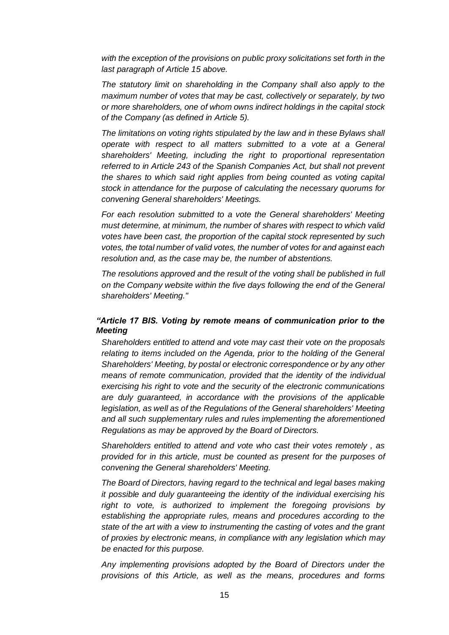*with the exception of the provisions on public proxy solicitations set forth in the last paragraph of Article 15 above.*

*The statutory limit on shareholding in the Company shall also apply to the maximum number of votes that may be cast, collectively or separately, by two or more shareholders, one of whom owns indirect holdings in the capital stock of the Company (as defined in Article 5).*

*The limitations on voting rights stipulated by the law and in these Bylaws shall operate with respect to all matters submitted to a vote at a General shareholders' Meeting, including the right to proportional representation referred to in Article 243 of the Spanish Companies Act, but shall not prevent the shares to which said right applies from being counted as voting capital stock in attendance for the purpose of calculating the necessary quorums for convening General shareholders' Meetings.*

*For each resolution submitted to a vote the General shareholders' Meeting must determine, at minimum, the number of shares with respect to which valid votes have been cast, the proportion of the capital stock represented by such votes, the total number of valid votes, the number of votes for and against each resolution and, as the case may be, the number of abstentions.*

*The resolutions approved and the result of the voting shall be published in full on the Company website within the five days following the end of the General shareholders' Meeting."*

## *"Article 17 BIS. Voting by remote means of communication prior to the Meeting*

*Shareholders entitled to attend and vote may cast their vote on the proposals relating to items included on the Agenda, prior to the holding of the General Shareholders' Meeting, by postal or electronic correspondence or by any other means of remote communication, provided that the identity of the individual exercising his right to vote and the security of the electronic communications are duly guaranteed, in accordance with the provisions of the applicable legislation, as well as of the Regulations of the General shareholders' Meeting and all such supplementary rules and rules implementing the aforementioned Regulations as may be approved by the Board of Directors.*

*Shareholders entitled to attend and vote who cast their votes remotely , as provided for in this article, must be counted as present for the purposes of convening the General shareholders' Meeting.*

*The Board of Directors, having regard to the technical and legal bases making it possible and duly guaranteeing the identity of the individual exercising his right to vote, is authorized to implement the foregoing provisions by establishing the appropriate rules, means and procedures according to the state of the art with a view to instrumenting the casting of votes and the grant of proxies by electronic means, in compliance with any legislation which may be enacted for this purpose.*

*Any implementing provisions adopted by the Board of Directors under the provisions of this Article, as well as the means, procedures and forms*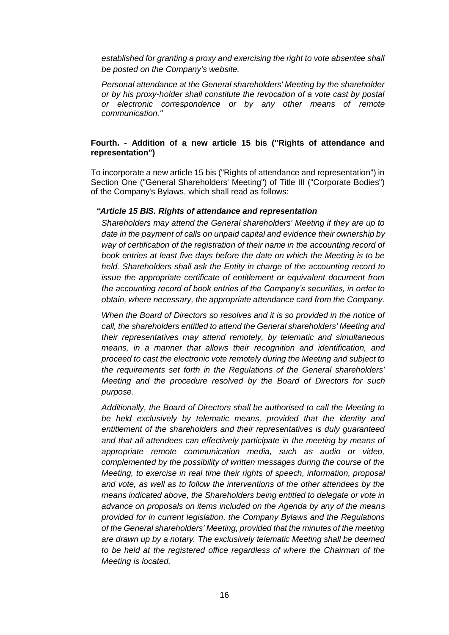*established for granting a proxy and exercising the right to vote absentee shall be posted on the Company's website.*

*Personal attendance at the General shareholders' Meeting by the shareholder or by his proxy-holder shall constitute the revocation of a vote cast by postal or electronic correspondence or by any other means of remote communication."*

## **Fourth. - Addition of a new article 15 bis ("Rights of attendance and representation")**

To incorporate a new article 15 bis ("Rights of attendance and representation") in Section One ("General Shareholders' Meeting") of Title III ("Corporate Bodies") of the Company's Bylaws, which shall read as follows:

### *"Article 15 BIS. Rights of attendance and representation*

*Shareholders may attend the General shareholders' Meeting if they are up to date in the payment of calls on unpaid capital and evidence their ownership by way of certification of the registration of their name in the accounting record of book entries at least five days before the date on which the Meeting is to be held. Shareholders shall ask the Entity in charge of the accounting record to issue the appropriate certificate of entitlement or equivalent document from the accounting record of book entries of the Company's securities, in order to obtain, where necessary, the appropriate attendance card from the Company.*

*When the Board of Directors so resolves and it is so provided in the notice of call, the shareholders entitled to attend the General shareholders' Meeting and their representatives may attend remotely, by telematic and simultaneous means, in a manner that allows their recognition and identification, and proceed to cast the electronic vote remotely during the Meeting and subject to the requirements set forth in the Regulations of the General shareholders' Meeting and the procedure resolved by the Board of Directors for such purpose.*

*Additionally, the Board of Directors shall be authorised to call the Meeting to be held exclusively by telematic means, provided that the identity and entitlement of the shareholders and their representatives is duly guaranteed and that all attendees can effectively participate in the meeting by means of appropriate remote communication media, such as audio or video, complemented by the possibility of written messages during the course of the Meeting, to exercise in real time their rights of speech, information, proposal and vote, as well as to follow the interventions of the other attendees by the means indicated above, the Shareholders being entitled to delegate or vote in advance on proposals on items included on the Agenda by any of the means provided for in current legislation, the Company Bylaws and the Regulations of the General shareholders' Meeting, provided that the minutes of the meeting are drawn up by a notary. The exclusively telematic Meeting shall be deemed to be held at the registered office regardless of where the Chairman of the Meeting is located.*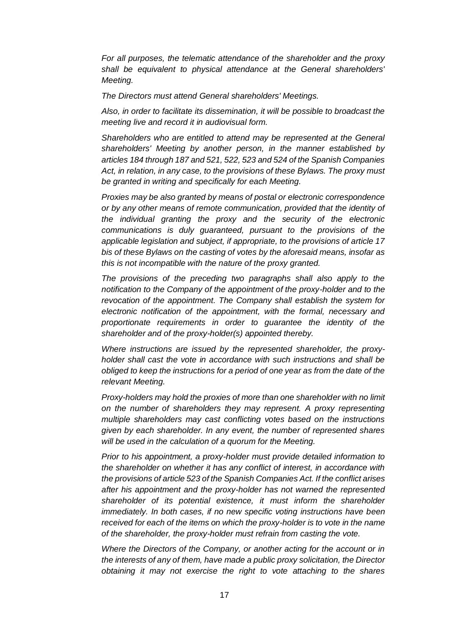*For all purposes, the telematic attendance of the shareholder and the proxy shall be equivalent to physical attendance at the General shareholders' Meeting.*

*The Directors must attend General shareholders' Meetings.*

*Also, in order to facilitate its dissemination, it will be possible to broadcast the meeting live and record it in audiovisual form.*

*Shareholders who are entitled to attend may be represented at the General shareholders' Meeting by another person, in the manner established by articles 184 through 187 and 521, 522, 523 and 524 of the Spanish Companies Act, in relation, in any case, to the provisions of these Bylaws. The proxy must be granted in writing and specifically for each Meeting.*

*Proxies may be also granted by means of postal or electronic correspondence or by any other means of remote communication, provided that the identity of the individual granting the proxy and the security of the electronic communications is duly guaranteed, pursuant to the provisions of the applicable legislation and subject, if appropriate, to the provisions of article 17 bis of these Bylaws on the casting of votes by the aforesaid means, insofar as this is not incompatible with the nature of the proxy granted.*

*The provisions of the preceding two paragraphs shall also apply to the notification to the Company of the appointment of the proxy-holder and to the revocation of the appointment. The Company shall establish the system for electronic notification of the appointment, with the formal, necessary and proportionate requirements in order to guarantee the identity of the shareholder and of the proxy-holder(s) appointed thereby.*

*Where instructions are issued by the represented shareholder, the proxyholder shall cast the vote in accordance with such instructions and shall be obliged to keep the instructions for a period of one year as from the date of the relevant Meeting.*

*Proxy-holders may hold the proxies of more than one shareholder with no limit on the number of shareholders they may represent. A proxy representing multiple shareholders may cast conflicting votes based on the instructions given by each shareholder. In any event, the number of represented shares will be used in the calculation of a quorum for the Meeting.*

*Prior to his appointment, a proxy-holder must provide detailed information to the shareholder on whether it has any conflict of interest, in accordance with the provisions of article 523 of the Spanish Companies Act. If the conflict arises after his appointment and the proxy-holder has not warned the represented shareholder of its potential existence, it must inform the shareholder immediately. In both cases, if no new specific voting instructions have been received for each of the items on which the proxy-holder is to vote in the name of the shareholder, the proxy-holder must refrain from casting the vote.*

*Where the Directors of the Company, or another acting for the account or in the interests of any of them, have made a public proxy solicitation, the Director obtaining it may not exercise the right to vote attaching to the shares*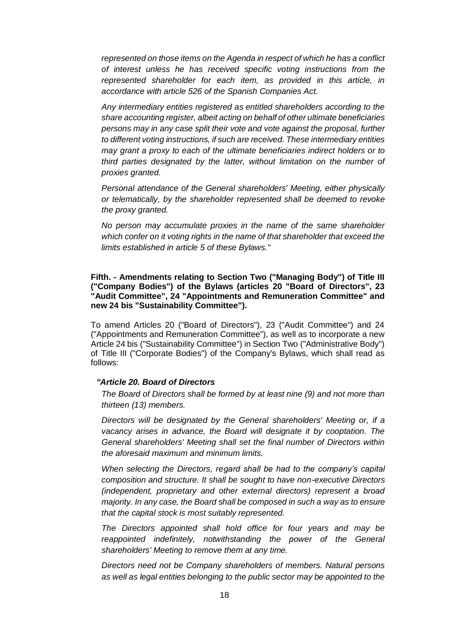*represented on those items on the Agenda in respect of which he has a conflict of interest unless he has received specific voting instructions from the represented shareholder for each item, as provided in this article, in accordance with article 526 of the Spanish Companies Act.*

*Any intermediary entities registered as entitled shareholders according to the share accounting register, albeit acting on behalf of other ultimate beneficiaries persons may in any case split their vote and vote against the proposal, further to different voting instructions, if such are received. These intermediary entities may grant a proxy to each of the ultimate beneficiaries indirect holders or to third parties designated by the latter, without limitation on the number of proxies granted.*

*Personal attendance of the General shareholders' Meeting, either physically or telematically, by the shareholder represented shall be deemed to revoke the proxy granted.*

*No person may accumulate proxies in the name of the same shareholder which confer on it voting rights in the name of that shareholder that exceed the limits established in article 5 of these Bylaws."*

**Fifth. - Amendments relating to Section Two ("Managing Body") of Title III ("Company Bodies") of the Bylaws (articles 20 "Board of Directors", 23 "Audit Committee", 24 "Appointments and Remuneration Committee" and new 24 bis "Sustainability Committee").**

To amend Articles 20 ("Board of Directors"), 23 ("Audit Committee") and 24 ("Appointments and Remuneration Committee"), as well as to incorporate a new Article 24 bis ("Sustainability Committee") in Section Two ("Administrative Body") of Title III ("Corporate Bodies") of the Company's Bylaws, which shall read as follows:

### *"Article 20. Board of Directors*

*The Board of Directors shall be formed by at least nine (9) and not more than thirteen (13) members.*

*Directors will be designated by the General shareholders' Meeting or, if a vacancy arises in advance, the Board will designate it by cooptation. The General shareholders' Meeting shall set the final number of Directors within the aforesaid maximum and minimum limits.*

*When selecting the Directors, regard shall be had to the company's capital composition and structure. It shall be sought to have non-executive Directors (independent, proprietary and other external directors) represent a broad majority. In any case, the Board shall be composed in such a way as to ensure that the capital stock is most suitably represented.*

*The Directors appointed shall hold office for four years and may be reappointed indefinitely, notwithstanding the power of the General shareholders' Meeting to remove them at any time.*

*Directors need not be Company shareholders of members. Natural persons as well as legal entities belonging to the public sector may be appointed to the*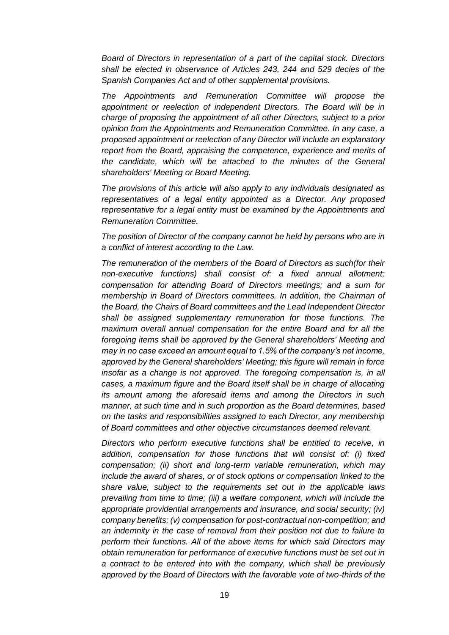*Board of Directors in representation of a part of the capital stock. Directors shall be elected in observance of Articles 243, 244 and 529 decies of the Spanish Companies Act and of other supplemental provisions.*

*The Appointments and Remuneration Committee will propose the appointment or reelection of independent Directors. The Board will be in charge of proposing the appointment of all other Directors, subject to a prior opinion from the Appointments and Remuneration Committee. In any case, a proposed appointment or reelection of any Director will include an explanatory report from the Board, appraising the competence, experience and merits of the candidate, which will be attached to the minutes of the General shareholders' Meeting or Board Meeting.*

*The provisions of this article will also apply to any individuals designated as representatives of a legal entity appointed as a Director. Any proposed representative for a legal entity must be examined by the Appointments and Remuneration Committee.*

*The position of Director of the company cannot be held by persons who are in a conflict of interest according to the Law.*

*The remuneration of the members of the Board of Directors as such(for their non-executive functions) shall consist of: a fixed annual allotment; compensation for attending Board of Directors meetings; and a sum for membership in Board of Directors committees. In addition, the Chairman of the Board, the Chairs of Board committees and the Lead Independent Director shall be assigned supplementary remuneration for those functions. The maximum overall annual compensation for the entire Board and for all the foregoing items shall be approved by the General shareholders' Meeting and may in no case exceed an amount equal to 1.5% of the company's net income, approved by the General shareholders' Meeting; this figure will remain in force insofar as a change is not approved. The foregoing compensation is, in all cases, a maximum figure and the Board itself shall be in charge of allocating its amount among the aforesaid items and among the Directors in such manner, at such time and in such proportion as the Board determines, based on the tasks and responsibilities assigned to each Director, any membership of Board committees and other objective circumstances deemed relevant.*

*Directors who perform executive functions shall be entitled to receive, in addition, compensation for those functions that will consist of: (i) fixed compensation; (ii) short and long-term variable remuneration, which may include the award of shares, or of stock options or compensation linked to the share value, subject to the requirements set out in the applicable laws prevailing from time to time; (iii) a welfare component, which will include the appropriate providential arrangements and insurance, and social security; (iv) company benefits; (v) compensation for post-contractual non-competition; and an indemnity in the case of removal from their position not due to failure to perform their functions. All of the above items for which said Directors may obtain remuneration for performance of executive functions must be set out in a contract to be entered into with the company, which shall be previously approved by the Board of Directors with the favorable vote of two-thirds of the*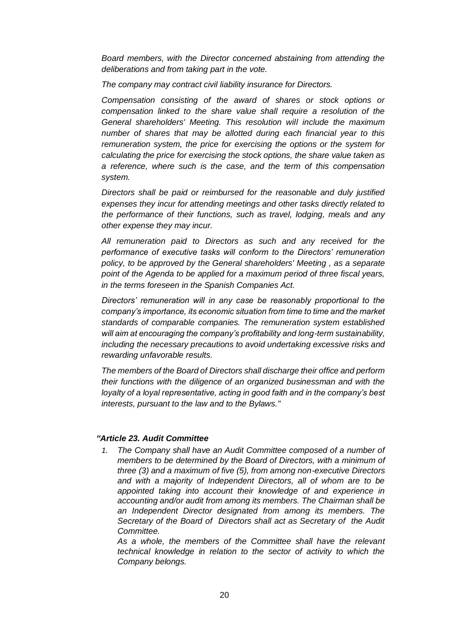*Board members, with the Director concerned abstaining from attending the deliberations and from taking part in the vote.*

*The company may contract civil liability insurance for Directors.*

*Compensation consisting of the award of shares or stock options or compensation linked to the share value shall require a resolution of the General shareholders' Meeting. This resolution will include the maximum number of shares that may be allotted during each financial year to this remuneration system, the price for exercising the options or the system for calculating the price for exercising the stock options, the share value taken as a reference, where such is the case, and the term of this compensation system.*

*Directors shall be paid or reimbursed for the reasonable and duly justified expenses they incur for attending meetings and other tasks directly related to the performance of their functions, such as travel, lodging, meals and any other expense they may incur.*

*All remuneration paid to Directors as such and any received for the performance of executive tasks will conform to the Directors' remuneration policy, to be approved by the General shareholders' Meeting , as a separate point of the Agenda to be applied for a maximum period of three fiscal years, in the terms foreseen in the Spanish Companies Act.*

*Directors' remuneration will in any case be reasonably proportional to the company's importance, its economic situation from time to time and the market standards of comparable companies. The remuneration system established will aim at encouraging the company's profitability and long-term sustainability, including the necessary precautions to avoid undertaking excessive risks and rewarding unfavorable results.*

*The members of the Board of Directors shall discharge their office and perform their functions with the diligence of an organized businessman and with the loyalty of a loyal representative, acting in good faith and in the company's best interests, pursuant to the law and to the Bylaws."*

## *"Article 23. Audit Committee*

*1. The Company shall have an Audit Committee composed of a number of members to be determined by the Board of Directors, with a minimum of three (3) and a maximum of five (5), from among non-executive Directors and with a majority of Independent Directors, all of whom are to be appointed taking into account their knowledge of and experience in accounting and/or audit from among its members. The Chairman shall be an Independent Director designated from among its members. The Secretary of the Board of Directors shall act as Secretary of the Audit Committee.*

*As a whole, the members of the Committee shall have the relevant technical knowledge in relation to the sector of activity to which the Company belongs.*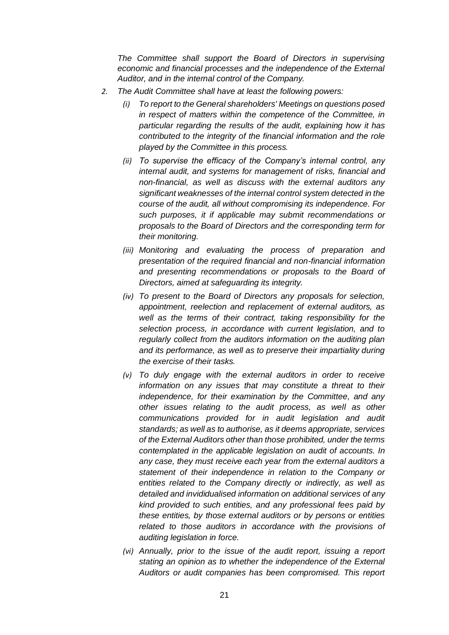*The Committee shall support the Board of Directors in supervising economic and financial processes and the independence of the External Auditor, and in the internal control of the Company.*

- *2. The Audit Committee shall have at least the following powers:*
	- *(i) To report to the General shareholders' Meetings on questions posed in respect of matters within the competence of the Committee, in particular regarding the results of the audit, explaining how it has contributed to the integrity of the financial information and the role played by the Committee in this process.*
	- *(ii) To supervise the efficacy of the Company's internal control, any internal audit, and systems for management of risks, financial and non-financial, as well as discuss with the external auditors any significant weaknesses of the internal control system detected in the course of the audit, all without compromising its independence. For such purposes, it if applicable may submit recommendations or proposals to the Board of Directors and the corresponding term for their monitoring.*
	- *(iii) Monitoring and evaluating the process of preparation and presentation of the required financial and non-financial information and presenting recommendations or proposals to the Board of Directors, aimed at safeguarding its integrity.*
	- *(iv) To present to the Board of Directors any proposals for selection, appointment, reelection and replacement of external auditors, as well as the terms of their contract, taking responsibility for the selection process, in accordance with current legislation, and to regularly collect from the auditors information on the auditing plan and its performance, as well as to preserve their impartiality during the exercise of their tasks.*
	- *(v) To duly engage with the external auditors in order to receive information on any issues that may constitute a threat to their independence, for their examination by the Committee, and any other issues relating to the audit process, as well as other communications provided for in audit legislation and audit standards; as well as to authorise, as it deems appropriate, services of the External Auditors other than those prohibited, under the terms contemplated in the applicable legislation on audit of accounts. In any case, they must receive each year from the external auditors a statement of their independence in relation to the Company or entities related to the Company directly or indirectly, as well as detailed and invididualised information on additional services of any kind provided to such entities, and any professional fees paid by these entities, by those external auditors or by persons or entities related to those auditors in accordance with the provisions of auditing legislation in force.*
	- *(vi) Annually, prior to the issue of the audit report, issuing a report stating an opinion as to whether the independence of the External Auditors or audit companies has been compromised. This report*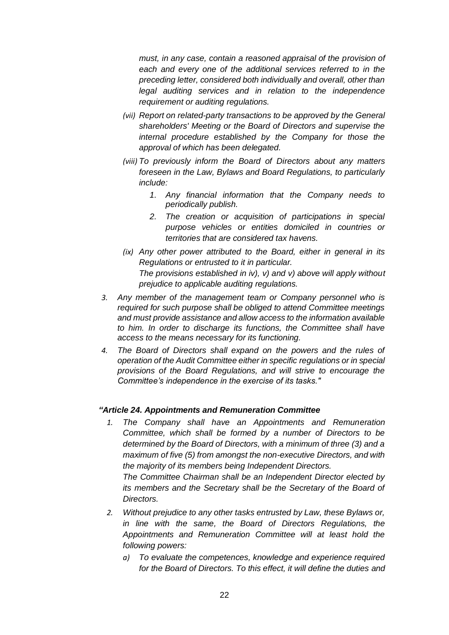*must, in any case, contain a reasoned appraisal of the provision of each and every one of the additional services referred to in the preceding letter, considered both individually and overall, other than legal auditing services and in relation to the independence requirement or auditing regulations.*

- *(vii) Report on related-party transactions to be approved by the General shareholders' Meeting or the Board of Directors and supervise the internal procedure established by the Company for those the approval of which has been delegated.*
- *(viii) To previously inform the Board of Directors about any matters foreseen in the Law, Bylaws and Board Regulations, to particularly include:*
	- *1. Any financial information that the Company needs to periodically publish.*
	- *2. The creation or acquisition of participations in special purpose vehicles or entities domiciled in countries or territories that are considered tax havens.*
- *(ix) Any other power attributed to the Board, either in general in its Regulations or entrusted to it in particular. The provisions established in iv), v) and v) above will apply without prejudice to applicable auditing regulations.*
- *3. Any member of the management team or Company personnel who is required for such purpose shall be obliged to attend Committee meetings and must provide assistance and allow access to the information available to him. In order to discharge its functions, the Committee shall have access to the means necessary for its functioning.*
- *4. The Board of Directors shall expand on the powers and the rules of operation of the Audit Committee either in specific regulations or in special provisions of the Board Regulations, and will strive to encourage the Committee's independence in the exercise of its tasks."*

## *"Article 24. Appointments and Remuneration Committee*

*1. The Company shall have an Appointments and Remuneration Committee, which shall be formed by a number of Directors to be determined by the Board of Directors, with a minimum of three (3) and a maximum of five (5) from amongst the non-executive Directors, and with the majority of its members being Independent Directors.*

*The Committee Chairman shall be an Independent Director elected by its members and the Secretary shall be the Secretary of the Board of Directors.*

- *2. Without prejudice to any other tasks entrusted by Law, these Bylaws or, in line with the same, the Board of Directors Regulations, the Appointments and Remuneration Committee will at least hold the following powers:*
	- *a) To evaluate the competences, knowledge and experience required for the Board of Directors. To this effect, it will define the duties and*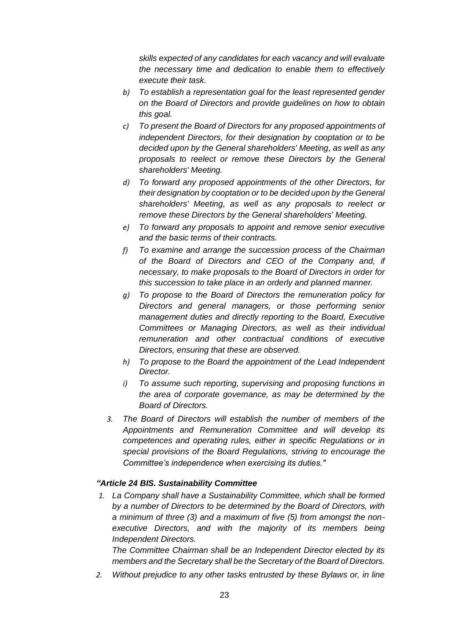*skills expected of any candidates for each vacancy and will evaluate the necessary time and dedication to enable them to effectively execute their task.*

- *b) To establish a representation goal for the least represented gender on the Board of Directors and provide guidelines on how to obtain this goal.*
- *c) To present the Board of Directors for any proposed appointments of independent Directors, for their designation by cooptation or to be decided upon by the General shareholders' Meeting, as well as any proposals to reelect or remove these Directors by the General shareholders' Meeting.*
- *d) To forward any proposed appointments of the other Directors, for their designation by cooptation or to be decided upon by the General shareholders' Meeting, as well as any proposals to reelect or remove these Directors by the General shareholders' Meeting.*
- *e) To forward any proposals to appoint and remove senior executive and the basic terms of their contracts.*
- *f) To examine and arrange the succession process of the Chairman of the Board of Directors and CEO of the Company and, if necessary, to make proposals to the Board of Directors in order for this succession to take place in an orderly and planned manner.*
- *g) To propose to the Board of Directors the remuneration policy for Directors and general managers, or those performing senior management duties and directly reporting to the Board, Executive Committees or Managing Directors, as well as their individual remuneration and other contractual conditions of executive Directors, ensuring that these are observed.*
- *h) To propose to the Board the appointment of the Lead Independent Director.*
- *i) To assume such reporting, supervising and proposing functions in the area of corporate governance, as may be determined by the Board of Directors.*
- *3. The Board of Directors will establish the number of members of the Appointments and Remuneration Committee and will develop its competences and operating rules, either in specific Regulations or in special provisions of the Board Regulations, striving to encourage the Committee's independence when exercising its duties."*

## *"Article 24 BIS. Sustainability Committee*

*1. La Company shall have a Sustainability Committee, which shall be formed by a number of Directors to be determined by the Board of Directors, with a minimum of three (3) and a maximum of five (5) from amongst the nonexecutive Directors, and with the majority of its members being Independent Directors.*

*The Committee Chairman shall be an Independent Director elected by its members and the Secretary shall be the Secretary of the Board of Directors.*

*2. Without prejudice to any other tasks entrusted by these Bylaws or, in line*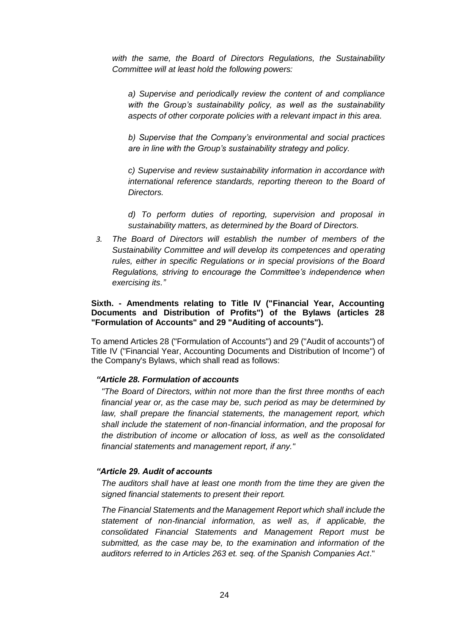*with the same, the Board of Directors Regulations, the Sustainability Committee will at least hold the following powers:*

*a) Supervise and periodically review the content of and compliance with the Group's sustainability policy, as well as the sustainability aspects of other corporate policies with a relevant impact in this area.*

*b) Supervise that the Company's environmental and social practices are in line with the Group's sustainability strategy and policy.*

*c) Supervise and review sustainability information in accordance with international reference standards, reporting thereon to the Board of Directors.*

*d) To perform duties of reporting, supervision and proposal in sustainability matters, as determined by the Board of Directors.*

*3. The Board of Directors will establish the number of members of the Sustainability Committee and will develop its competences and operating rules, either in specific Regulations or in special provisions of the Board Regulations, striving to encourage the Committee's independence when exercising its."*

### **Sixth. - Amendments relating to Title IV ("Financial Year, Accounting Documents and Distribution of Profits") of the Bylaws (articles 28 "Formulation of Accounts" and 29 "Auditing of accounts").**

To amend Articles 28 ("Formulation of Accounts") and 29 ("Audit of accounts") of Title IV ("Financial Year, Accounting Documents and Distribution of Income") of the Company's Bylaws, which shall read as follows:

# *"Article 28. Formulation of accounts*

*"The Board of Directors, within not more than the first three months of each financial year or, as the case may be, such period as may be determined by law, shall prepare the financial statements, the management report, which shall include the statement of non-financial information, and the proposal for the distribution of income or allocation of loss, as well as the consolidated financial statements and management report, if any."*

#### *"Article 29. Audit of accounts*

*The auditors shall have at least one month from the time they are given the signed financial statements to present their report.*

*The Financial Statements and the Management Report which shall include the statement of non-financial information, as well as, if applicable, the consolidated Financial Statements and Management Report must be submitted, as the case may be, to the examination and information of the auditors referred to in Articles 263 et. seq. of the Spanish Companies Act*."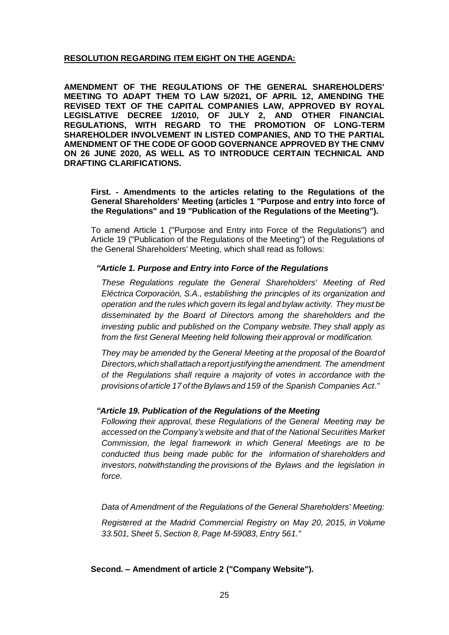# **RESOLUTION REGARDING ITEM EIGHT ON THE AGENDA:**

**AMENDMENT OF THE REGULATIONS OF THE GENERAL SHAREHOLDERS' MEETING TO ADAPT THEM TO LAW 5/2021, OF APRIL 12, AMENDING THE REVISED TEXT OF THE CAPITAL COMPANIES LAW, APPROVED BY ROYAL LEGISLATIVE DECREE 1/2010, OF JULY 2, AND OTHER FINANCIAL REGULATIONS, WITH REGARD TO THE PROMOTION OF LONG-TERM SHAREHOLDER INVOLVEMENT IN LISTED COMPANIES, AND TO THE PARTIAL AMENDMENT OF THE CODE OF GOOD GOVERNANCE APPROVED BY THE CNMV ON 26 JUNE 2020, AS WELL AS TO INTRODUCE CERTAIN TECHNICAL AND DRAFTING CLARIFICATIONS.**

**First. - Amendments to the articles relating to the Regulations of the General Shareholders' Meeting (articles 1 "Purpose and entry into force of the Regulations" and 19 "Publication of the Regulations of the Meeting").**

To amend Article 1 ("Purpose and Entry into Force of the Regulations") and Article 19 ("Publication of the Regulations of the Meeting") of the Regulations of the General Shareholders' Meeting, which shall read as follows:

## *"Article 1. Purpose and Entry into Force of the Regulations*

*These Regulations regulate the General Shareholders' Meeting of Red Eléctrica Corporación, S.A., establishing the principles of its organization and operation and the rules which govern its legal and bylaw activity. They must be disseminated by the Board of Directors among the shareholders and the investing public and published on the Company website.They shall apply as from the first General Meeting held following theirapproval or modification.*

*They may be amended by the General Meeting at the proposal of the Boardof Directors,which shallattacha report justifyingtheamendment. The amendment of the Regulations shall require a majority of votes in accordance with the provisions ofarticle 17 of theBylawsand 159 of the Spanish Companies Act."*

#### *"Article 19. Publication of the Regulations of the Meeting*

*Following their approval, these Regulations of the General Meeting may be accessed on the Company's website and that of the National Securities Market Commission, the legal framework in which General Meetings are to be conducted thus being made public for the information of shareholders and investors, notwithstanding the provisions of the Bylaws and the legislation in force.*

*Data of Amendment of the Regulations of the General Shareholders' Meeting:*

*Registered at the Madrid Commercial Registry on May 20, 2015, in Volume 33.501, Sheet 5, Section 8, Page M-59083, Entry 561."*

**Second. – Amendment of article 2 ("Company Website").**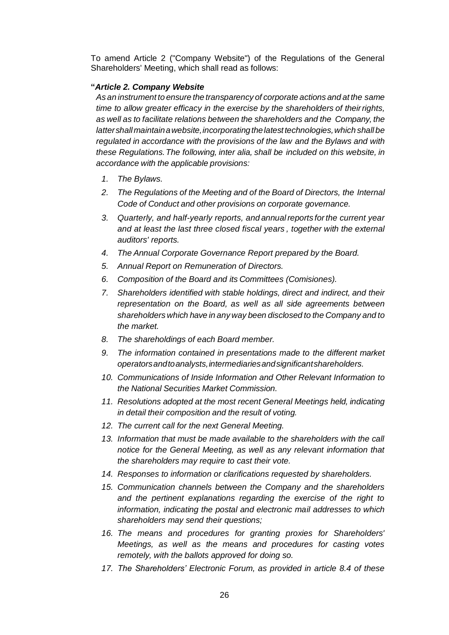To amend Article 2 ("Company Website") of the Regulations of the General Shareholders' Meeting, which shall read as follows:

# **"***Article 2. Company Website*

*As an instrument to ensure the transparency of corporate actions and at the same time to allow greater efficacy in the exercise by the shareholders of theirrights, as well as to facilitate relations between the shareholders and the Company, the lattershallmaintainawebsite,incorporatingthelatesttechnologies,which shall be regulated in accordance with the provisions of the law and the Bylaws and with these Regulations.The following, inter alia, shall be included on this website, in accordance with the applicable provisions:*

- *1. The Bylaws.*
- *2. The Regulations of the Meeting and of the Board of Directors, the Internal Code of Conduct and other provisions on corporate governance.*
- *3. Quarterly, and half-yearly reports, and annualreports forthe current year and at least the last three closed fiscal years , together with the external auditors' reports.*
- *4. The Annual Corporate Governance Report prepared by the Board.*
- *5. Annual Report on Remuneration of Directors.*
- *6. Composition of the Board and its Committees (Comisiones).*
- *7. Shareholders identified with stable holdings, direct and indirect, and their representation on the Board, as well as all side agreements between shareholders which have in any way been disclosed to the Company and to the market.*
- *8. The shareholdings of each Board member.*
- *9. The information contained in presentations made to the different market operatorsandtoanalysts,intermediariesandsignificantshareholders.*
- *10. Communications of Inside Information and Other Relevant Information to the National Securities Market Commission.*
- *11. Resolutions adopted at the most recent General Meetings held, indicating in detail their composition and the result of voting.*
- *12. The current call for the next General Meeting.*
- 13. Information that must be made available to the shareholders with the call *notice for the General Meeting, as well as any relevant information that the shareholders may require to cast their vote.*
- *14. Responses to information or clarifications requested by shareholders.*
- *15. Communication channels between the Company and the shareholders and the pertinent explanations regarding the exercise of the right to information, indicating the postal and electronic mail addresses to which shareholders may send their questions;*
- *16. The means and procedures for granting proxies for Shareholders' Meetings, as well as the means and procedures for casting votes remotely, with the ballots approved for doing so.*
- *17. The Shareholders' Electronic Forum, as provided in article 8.4 of these*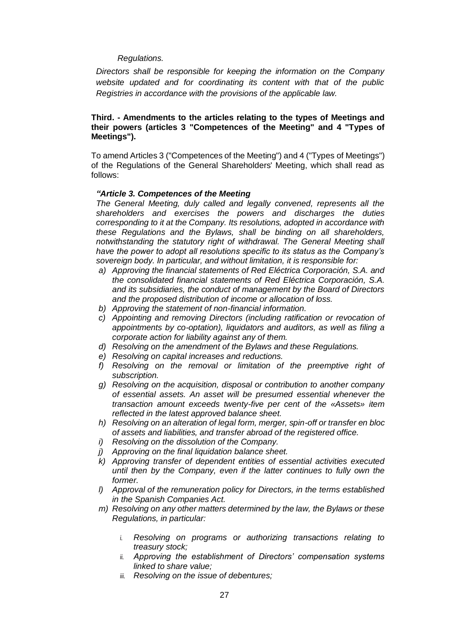## *Regulations.*

*Directors shall be responsible for keeping the information on the Company website updated and for coordinating its content with that of the public Registries in accordance with the provisions of the applicable law.*

### **Third. - Amendments to the articles relating to the types of Meetings and their powers (articles 3 "Competences of the Meeting" and 4 "Types of Meetings").**

To amend Articles 3 ("Competences of the Meeting") and 4 ("Types of Meetings") of the Regulations of the General Shareholders' Meeting, which shall read as follows:

### *"Article 3. Competences of the Meeting*

*The General Meeting, duly called and legally convened, represents all the shareholders and exercises the powers and discharges the duties corresponding to it at the Company. Its resolutions, adopted in accordance with these Regulations and the Bylaws, shall be binding on all shareholders, notwithstanding the statutory right of withdrawal. The General Meeting shall have the power to adopt all resolutions specific to its status as the Company's sovereign body. In particular, and without limitation, it is responsible for:*

- *a) Approving the financial statements of Red Eléctrica Corporación, S.A. and the consolidated financial statements of Red Eléctrica Corporación, S.A. and its subsidiaries, the conduct of management by the Board of Directors and the proposed distribution of income or allocation of loss.*
- *b) Approving the statement of non-financial information.*
- *c) Appointing and removing Directors (including ratification or revocation of appointments by co-optation), liquidators and auditors, as well as filing a corporate action for liability against any of them.*
- *d) Resolving on the amendment of the Bylaws and these Regulations.*
- *e) Resolving on capital increases and reductions.*
- *f) Resolving on the removal or limitation of the preemptive right of subscription.*
- *g) Resolving on the acquisition, disposal or contribution to another company of essential assets. An asset will be presumed essential whenever the transaction amount exceeds twenty-five per cent of the «Assets» item reflected in the latest approved balance sheet.*
- *h) Resolving on an alteration of legal form, merger, spin-off or transfer en bloc of assets and liabilities, and transfer abroad of the registered office.*
- *i) Resolving on the dissolution of the Company.*
- *j) Approving on the final liquidation balance sheet.*
- *k) Approving transfer of dependent entities of essential activities executed until then by the Company, even if the latter continues to fully own the former.*
- *l) Approval of the remuneration policy for Directors, in the terms established in the Spanish Companies Act.*
- *m) Resolving on any other matters determined by the law, the Bylaws or these Regulations, in particular:*
	- *i. Resolving on programs or authorizing transactions relating to treasury stock;*
	- *ii. Approving the establishment of Directors' compensation systems linked to share value;*
	- *iii. Resolving on the issue of debentures;*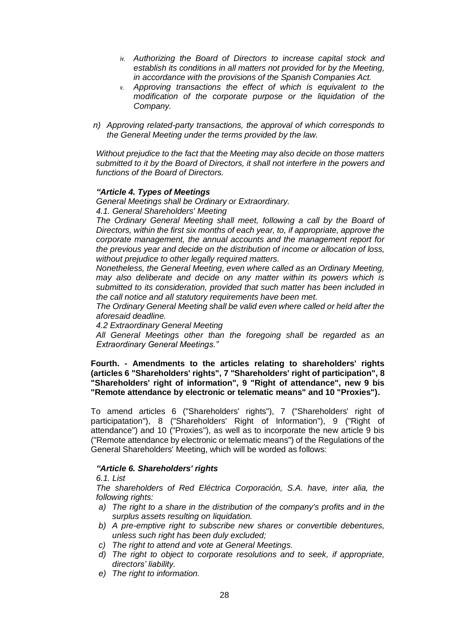- *iv. Authorizing the Board of Directors to increase capital stock and establish its conditions in all matters not provided for by the Meeting, in accordance with the provisions of the Spanish Companies Act.*
- *v. Approving transactions the effect of which is equivalent to the modification of the corporate purpose or the liquidation of the Company.*
- *n) Approving related-party transactions, the approval of which corresponds to the General Meeting under the terms provided by the law.*

*Without prejudice to the fact that the Meeting may also decide on those matters submitted to it by the Board of Directors, it shall not interfere in the powers and functions of the Board of Directors.*

### *"Article 4. Types of Meetings*

*General Meetings shall be Ordinary or Extraordinary.*

*4.1. General Shareholders' Meeting*

*The Ordinary General Meeting shall meet, following a call by the Board of Directors, within the first six months of each year, to, if appropriate, approve the corporate management, the annual accounts and the management report for the previous year and decide on the distribution of income or allocation of loss, without prejudice to other legally required matters.*

*Nonetheless, the General Meeting, even where called as an Ordinary Meeting, may also deliberate and decide on any matter within its powers which is submitted to its consideration, provided that such matter has been included in the call notice and all statutory requirements have been met.*

*The Ordinary General Meeting shall be valid even where called or held after the aforesaid deadline.*

*4.2 Extraordinary General Meeting*

*All General Meetings other than the foregoing shall be regarded as an Extraordinary General Meetings."*

**Fourth. - Amendments to the articles relating to shareholders' rights (articles 6 "Shareholders' rights", 7 "Shareholders' right of participation", 8 "Shareholders' right of information", 9 "Right of attendance", new 9 bis "Remote attendance by electronic or telematic means" and 10 "Proxies").**

To amend articles 6 ("Shareholders' rights"), 7 ("Shareholders' right of participatation"), 8 ("Shareholders' Right of Information"), 9 ("Right of attendance") and 10 ("Proxies"), as well as to incorporate the new article 9 bis ("Remote attendance by electronic or telematic means") of the Regulations of the General Shareholders' Meeting, which will be worded as follows:

## *"Article 6. Shareholders' rights*

*6.1. List*

*The shareholders of Red Eléctrica Corporación, S.A. have, inter alia, the following rights:*

- *a) The right to a share in the distribution of the company's profits and in the surplus assets resulting on liquidation.*
- *b) A pre-emptive right to subscribe new shares or convertible debentures, unless such right has been duly excluded;*
- *c) The right to attend and vote at General Meetings.*
- *d) The right to object to corporate resolutions and to seek, if appropriate, directors' liability.*
- *e) The right to information.*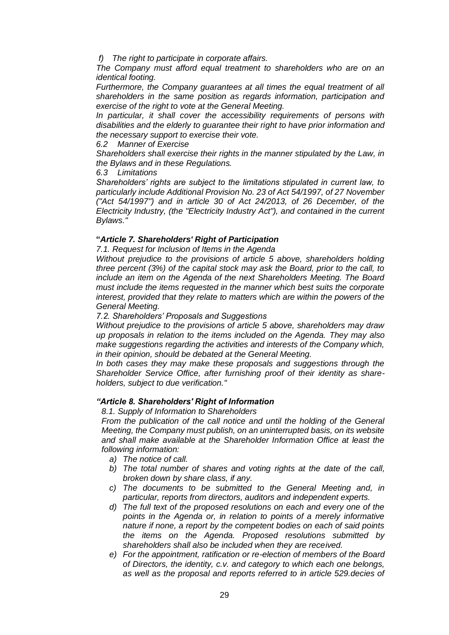*f) The right to participate in corporate affairs.*

*The Company must afford equal treatment to shareholders who are on an identical footing.* 

*Furthermore, the Company guarantees at all times the equal treatment of all shareholders in the same position as regards information, participation and exercise of the right to vote at the General Meeting.*

*In particular, it shall cover the accessibility requirements of persons with disabilities and the elderly to guarantee their right to have prior information and the necessary support to exercise their vote.*

*6.2 Manner of Exercise*

*Shareholders shall exercise their rights in the manner stipulated by the Law, in the Bylaws and in these Regulations.*

*6.3 Limitations*

*Shareholders' rights are subject to the limitations stipulated in current law, to particularly include Additional Provision No. 23 of Act 54/1997, of 27 November ("Act 54/1997") and in article 30 of Act 24/2013, of 26 December, of the Electricity Industry, (the "Electricity Industry Act"), and contained in the current Bylaws."*

# **"***Article 7. Shareholders' Right of Participation*

*7.1. Request for Inclusion of Items in the Agenda*

*Without prejudice to the provisions of article 5 above, shareholders holding three percent (3%) of the capital stock may ask the Board, prior to the call, to include an item on the Agenda of the next Shareholders Meeting. The Board must include the items requested in the manner which best suits the corporate interest, provided that they relate to matters which are within the powers of the General Meeting.*

*7.2. Shareholders' Proposals and Suggestions* 

*Without prejudice to the provisions of article 5 above, shareholders may draw up proposals in relation to the items included on the Agenda. They may also make suggestions regarding the activities and interests of the Company which, in their opinion, should be debated at the General Meeting.*

*In both cases they may make these proposals and suggestions through the Shareholder Service Office, after furnishing proof of their identity as shareholders, subject to due verification."*

## *"Article 8. Shareholders' Right of Information*

*8.1. Supply of Information to Shareholders*

*From the publication of the call notice and until the holding of the General Meeting, the Company must publish, on an uninterrupted basis, on its website and shall make available at the Shareholder Information Office at least the following information:*

- *a) The notice of call.*
- *b) The total number of shares and voting rights at the date of the call, broken down by share class, if any.*
- *c) The documents to be submitted to the General Meeting and, in particular, reports from directors, auditors and independent experts.*
- *d) The full text of the proposed resolutions on each and every one of the points in the Agenda or, in relation to points of a merely informative nature if none, a report by the competent bodies on each of said points the items on the Agenda. Proposed resolutions submitted by shareholders shall also be included when they are received.*
- *e) For the appointment, ratification or re-election of members of the Board of Directors, the identity, c.v. and category to which each one belongs, as well as the proposal and reports referred to in article 529.decies of*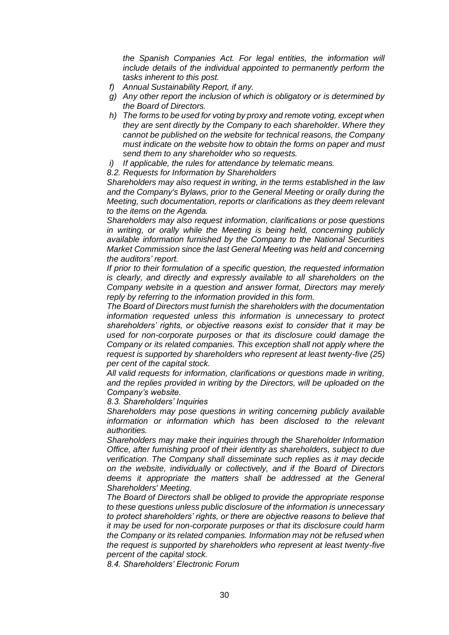*the Spanish Companies Act. For legal entities, the information will include details of the individual appointed to permanently perform the tasks inherent to this post.*

- *f) Annual Sustainability Report, if any.*
- *g) Any other report the inclusion of which is obligatory or is determined by the Board of Directors.*
- *h) The forms to be used for voting by proxy and remote voting, except when they are sent directly by the Company to each shareholder. Where they cannot be published on the website for technical reasons, the Company must indicate on the website how to obtain the forms on paper and must send them to any shareholder who so requests.*
- *i) If applicable, the rules for attendance by telematic means.*

*8.2. Requests for Information by Shareholders* 

*Shareholders may also request in writing, in the terms established in the law and the Company's Bylaws, prior to the General Meeting or orally during the Meeting, such documentation, reports or clarifications as they deem relevant to the items on the Agenda.*

*Shareholders may also request information, clarifications or pose questions in writing, or orally while the Meeting is being held, concerning publicly available information furnished by the Company to the National Securities Market Commission since the last General Meeting was held and concerning the auditors' report.*

*If prior to their formulation of a specific question, the requested information is clearly, and directly and expressly available to all shareholders on the Company website in a question and answer format, Directors may merely reply by referring to the information provided in this form.*

*The Board of Directors must furnish the shareholders with the documentation information requested unless this information is unnecessary to protect shareholders' rights, or objective reasons exist to consider that it may be used for non-corporate purposes or that its disclosure could damage the Company or its related companies. This exception shall not apply where the request is supported by shareholders who represent at least twenty-five (25) per cent of the capital stock.*

*All valid requests for information, clarifications or questions made in writing, and the replies provided in writing by the Directors, will be uploaded on the Company's website.*

*8.3. Shareholders' Inquiries*

*Shareholders may pose questions in writing concerning publicly available information or information which has been disclosed to the relevant authorities.*

*Shareholders may make their inquiries through the Shareholder Information Office, after furnishing proof of their identity as shareholders, subject to due verification. The Company shall disseminate such replies as it may decide on the website, individually or collectively, and if the Board of Directors deems it appropriate the matters shall be addressed at the General Shareholders' Meeting.*

*The Board of Directors shall be obliged to provide the appropriate response to these questions unless public disclosure of the information is unnecessary to protect shareholders' rights, or there are objective reasons to believe that it may be used for non-corporate purposes or that its disclosure could harm the Company or its related companies. Information may not be refused when the request is supported by shareholders who represent at least twenty-five percent of the capital stock.*

*8.4. Shareholders' Electronic Forum*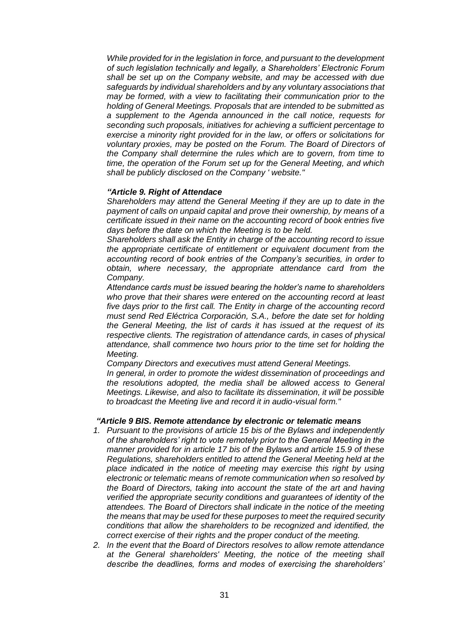*While provided for in the legislation in force, and pursuant to the development of such legislation technically and legally, a Shareholders' Electronic Forum shall be set up on the Company website, and may be accessed with due safeguards by individual shareholders and by any voluntary associations that may be formed, with a view to facilitating their communication prior to the holding of General Meetings. Proposals that are intended to be submitted as a supplement to the Agenda announced in the call notice, requests for seconding such proposals, initiatives for achieving a sufficient percentage to exercise a minority right provided for in the law, or offers or solicitations for voluntary proxies, may be posted on the Forum. The Board of Directors of the Company shall determine the rules which are to govern, from time to time, the operation of the Forum set up for the General Meeting, and which shall be publicly disclosed on the Company ' website."*

### *"Article 9. Right of Attendace*

*Shareholders may attend the General Meeting if they are up to date in the payment of calls on unpaid capital and prove their ownership, by means of a certificate issued in their name on the accounting record of book entries five days before the date on which the Meeting is to be held.*

*Shareholders shall ask the Entity in charge of the accounting record to issue the appropriate certificate of entitlement or equivalent document from the accounting record of book entries of the Company's securities, in order to obtain, where necessary, the appropriate attendance card from the Company.*

*Attendance cards must be issued bearing the holder's name to shareholders who prove that their shares were entered on the accounting record at least five days prior to the first call. The Entity in charge of the accounting record must send Red Eléctrica Corporación, S.A., before the date set for holding the General Meeting, the list of cards it has issued at the request of its respective clients. The registration of attendance cards, in cases of physical attendance, shall commence two hours prior to the time set for holding the Meeting.*

*Company Directors and executives must attend General Meetings.*

*In general, in order to promote the widest dissemination of proceedings and the resolutions adopted, the media shall be allowed access to General Meetings. Likewise, and also to facilitate its dissemination, it will be possible to broadcast the Meeting live and record it in audio-visual form."*

#### *"Article 9 BIS. Remote attendance by electronic or telematic means*

- *1. Pursuant to the provisions of article 15 bis of the Bylaws and independently of the shareholders' right to vote remotely prior to the General Meeting in the manner provided for in article 17 bis of the Bylaws and article 15.9 of these Regulations, shareholders entitled to attend the General Meeting held at the place indicated in the notice of meeting may exercise this right by using electronic or telematic means of remote communication when so resolved by the Board of Directors, taking into account the state of the art and having verified the appropriate security conditions and guarantees of identity of the attendees. The Board of Directors shall indicate in the notice of the meeting the means that may be used for these purposes to meet the required security conditions that allow the shareholders to be recognized and identified, the correct exercise of their rights and the proper conduct of the meeting.*
- *2. In the event that the Board of Directors resolves to allow remote attendance at the General shareholders' Meeting, the notice of the meeting shall describe the deadlines, forms and modes of exercising the shareholders'*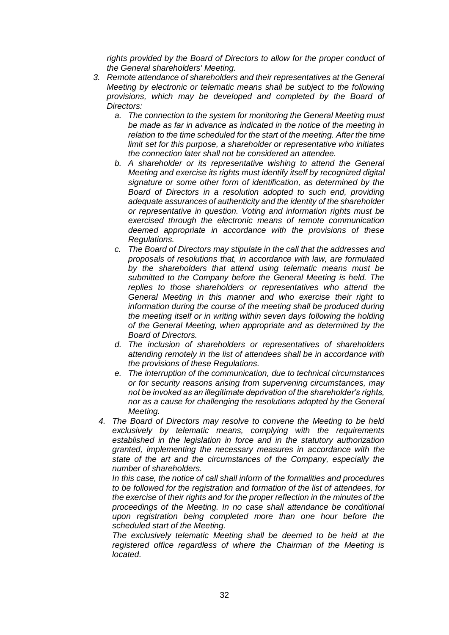*rights provided by the Board of Directors to allow for the proper conduct of the General shareholders' Meeting.* 

- *3. Remote attendance of shareholders and their representatives at the General Meeting by electronic or telematic means shall be subject to the following provisions, which may be developed and completed by the Board of Directors:* 
	- *a. The connection to the system for monitoring the General Meeting must be made as far in advance as indicated in the notice of the meeting in relation to the time scheduled for the start of the meeting. After the time limit set for this purpose, a shareholder or representative who initiates the connection later shall not be considered an attendee.*
	- *b. A shareholder or its representative wishing to attend the General Meeting and exercise its rights must identify itself by recognized digital signature or some other form of identification, as determined by the Board of Directors in a resolution adopted to such end, providing adequate assurances of authenticity and the identity of the shareholder or representative in question. Voting and information rights must be exercised through the electronic means of remote communication deemed appropriate in accordance with the provisions of these Regulations.*
	- *c. The Board of Directors may stipulate in the call that the addresses and proposals of resolutions that, in accordance with law, are formulated by the shareholders that attend using telematic means must be submitted to the Company before the General Meeting is held. The replies to those shareholders or representatives who attend the General Meeting in this manner and who exercise their right to information during the course of the meeting shall be produced during the meeting itself or in writing within seven days following the holding of the General Meeting, when appropriate and as determined by the Board of Directors.*
	- *d. The inclusion of shareholders or representatives of shareholders attending remotely in the list of attendees shall be in accordance with the provisions of these Regulations.*
	- *e. The interruption of the communication, due to technical circumstances or for security reasons arising from supervening circumstances, may not be invoked as an illegitimate deprivation of the shareholder's rights, nor as a cause for challenging the resolutions adopted by the General Meeting.*
	- *4. The Board of Directors may resolve to convene the Meeting to be held exclusively by telematic means, complying with the requirements established in the legislation in force and in the statutory authorization granted, implementing the necessary measures in accordance with the state of the art and the circumstances of the Company, especially the number of shareholders.*

*In this case, the notice of call shall inform of the formalities and procedures to be followed for the registration and formation of the list of attendees, for the exercise of their rights and for the proper reflection in the minutes of the proceedings of the Meeting. In no case shall attendance be conditional upon registration being completed more than one hour before the scheduled start of the Meeting.*

*The exclusively telematic Meeting shall be deemed to be held at the registered office regardless of where the Chairman of the Meeting is located.*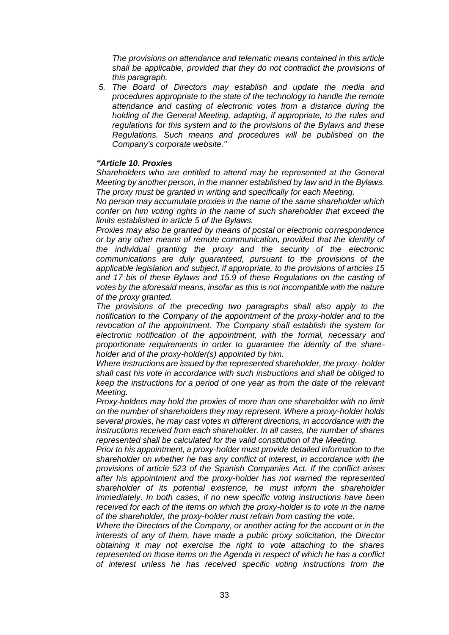*The provisions on attendance and telematic means contained in this article shall be applicable, provided that they do not contradict the provisions of this paragraph.*

*5. The Board of Directors may establish and update the media and procedures appropriate to the state of the technology to handle the remote attendance and casting of electronic votes from a distance during the holding of the General Meeting, adapting, if appropriate, to the rules and regulations for this system and to the provisions of the Bylaws and these Regulations. Such means and procedures will be published on the Company's corporate website."*

#### *"Article 10. Proxies*

*Shareholders who are entitled to attend may be represented at the General Meeting by another person, in the manner established by law and in the Bylaws. The proxy must be granted in writing and specifically for each Meeting.*

*No person may accumulate proxies in the name of the same shareholder which confer on him voting rights in the name of such shareholder that exceed the limits established in article 5 of the Bylaws.*

*Proxies may also be granted by means of postal or electronic correspondence or by any other means of remote communication, provided that the identity of the individual granting the proxy and the security of the electronic communications are duly guaranteed, pursuant to the provisions of the applicable legislation and subject, if appropriate, to the provisions of articles 15 and 17 bis of these Bylaws and 15.9 of these Regulations on the casting of votes by the aforesaid means, insofar as this is not incompatible with the nature of the proxy granted.*

*The provisions of the preceding two paragraphs shall also apply to the notification to the Company of the appointment of the proxy-holder and to the revocation of the appointment. The Company shall establish the system for electronic notification of the appointment, with the formal, necessary and proportionate requirements in order to guarantee the identity of the shareholder and of the proxy-holder(s) appointed by him.*

*Where instructions are issued by the represented shareholder, the proxy- holder shall cast his vote in accordance with such instructions and shall be obliged to keep the instructions for a period of one year as from the date of the relevant Meeting.*

*Proxy-holders may hold the proxies of more than one shareholder with no limit on the number of shareholders they may represent. Where a proxy-holder holds several proxies, he may cast votes in different directions, in accordance with the instructions received from each shareholder. In all cases, the number of shares represented shall be calculated for the valid constitution of the Meeting.*

*Prior to his appointment, a proxy-holder must provide detailed information to the shareholder on whether he has any conflict of interest, in accordance with the provisions of article 523 of the Spanish Companies Act. If the conflict arises after his appointment and the proxy-holder has not warned the represented shareholder of its potential existence, he must inform the shareholder immediately. In both cases, if no new specific voting instructions have been received for each of the items on which the proxy-holder is to vote in the name of the shareholder, the proxy-holder must refrain from casting the vote.*

*Where the Directors of the Company, or another acting for the account or in the interests of any of them, have made a public proxy solicitation, the Director obtaining it may not exercise the right to vote attaching to the shares represented on those items on the Agenda in respect of which he has a conflict of interest unless he has received specific voting instructions from the*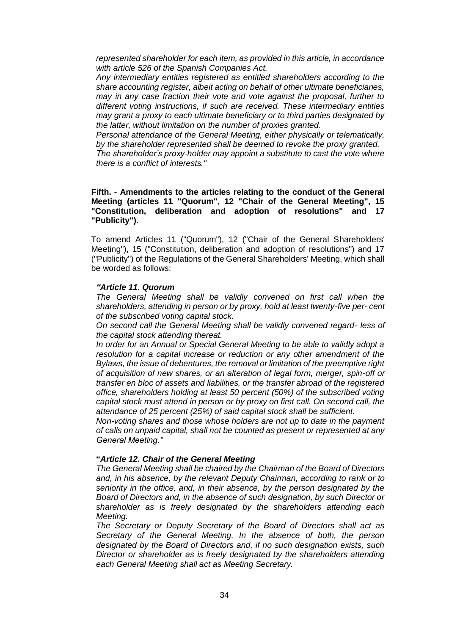*represented shareholder for each item, as provided in this article, in accordance with article 526 of the Spanish Companies Act.*

*Any intermediary entities registered as entitled shareholders according to the share accounting register, albeit acting on behalf of other ultimate beneficiaries, may in any case fraction their vote and vote against the proposal, further to different voting instructions, if such are received. These intermediary entities may grant a proxy to each ultimate beneficiary or to third parties designated by the latter, without limitation on the number of proxies granted.*

*Personal attendance of the General Meeting, either physically or telematically, by the shareholder represented shall be deemed to revoke the proxy granted.*

*The shareholder's proxy-holder may appoint a substitute to cast the vote where there is a conflict of interests."*

#### **Fifth. - Amendments to the articles relating to the conduct of the General Meeting (articles 11 "Quorum", 12 "Chair of the General Meeting", 15 "Constitution, deliberation and adoption of resolutions" and 17 "Publicity").**

To amend Articles 11 ("Quorum"), 12 ("Chair of the General Shareholders' Meeting"), 15 ("Constitution, deliberation and adoption of resolutions") and 17 ("Publicity") of the Regulations of the General Shareholders' Meeting, which shall be worded as follows:

### *"Article 11. Quorum*

*The General Meeting shall be validly convened on first call when the shareholders, attending in person or by proxy, hold at least twenty-five per- cent of the subscribed voting capital stock.*

*On second call the General Meeting shall be validly convened regard- less of the capital stock attending thereat.*

*In order for an Annual or Special General Meeting to be able to validly adopt a resolution for a capital increase or reduction or any other amendment of the Bylaws, the issue of debentures, the removal or limitation of the preemptive right of acquisition of new shares, or an alteration of legal form, merger, spin-off or transfer en bloc of assets and liabilities, or the transfer abroad of the registered office, shareholders holding at least 50 percent (50%) of the subscribed voting capital stock must attend in person or by proxy on first call. On second call, the attendance of 25 percent (25%) of said capital stock shall be sufficient.*

*Non-voting shares and those whose holders are not up to date in the payment of calls on unpaid capital, shall not be counted as present or represented at any General Meeting."*

#### **"***Article 12. Chair of the General Meeting*

*The General Meeting shall be chaired by the Chairman of the Board of Directors and, in his absence, by the relevant Deputy Chairman, according to rank or to seniority in the office, and, in their absence, by the person designated by the Board of Directors and, in the absence of such designation, by such Director or shareholder as is freely designated by the shareholders attending each Meeting.*

*The Secretary or Deputy Secretary of the Board of Directors shall act as Secretary of the General Meeting. In the absence of both, the person designated by the Board of Directors and, if no such designation exists, such Director or shareholder as is freely designated by the shareholders attending each General Meeting shall act as Meeting Secretary.*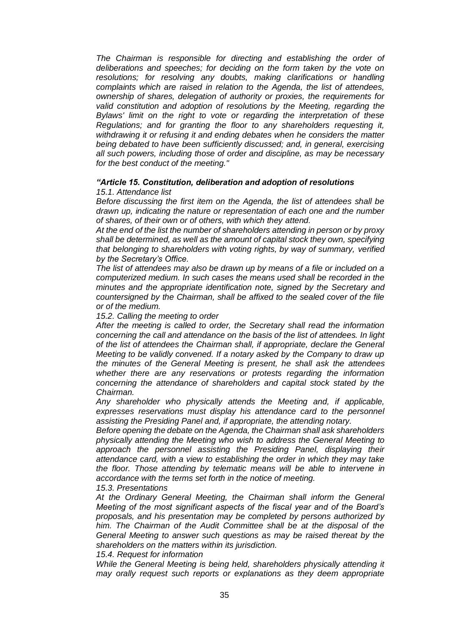*The Chairman is responsible for directing and establishing the order of deliberations and speeches; for deciding on the form taken by the vote on resolutions; for resolving any doubts, making clarifications or handling complaints which are raised in relation to the Agenda, the list of attendees, ownership of shares, delegation of authority or proxies, the requirements for valid constitution and adoption of resolutions by the Meeting, regarding the Bylaws' limit on the right to vote or regarding the interpretation of these Regulations; and for granting the floor to any shareholders requesting it, withdrawing it or refusing it and ending debates when he considers the matter being debated to have been sufficiently discussed; and, in general, exercising all such powers, including those of order and discipline, as may be necessary for the best conduct of the meeting."*

#### *"Article 15. Constitution, deliberation and adoption of resolutions 15.1. Attendance list*

*Before discussing the first item on the Agenda, the list of attendees shall be drawn up, indicating the nature or representation of each one and the number of shares, of their own or of others, with which they attend.*

*At the end of the list the number of shareholders attending in person or by proxy shall be determined, as well as the amount of capital stock they own, specifying that belonging to shareholders with voting rights, by way of summary, verified by the Secretary's Office.*

*The list of attendees may also be drawn up by means of a file or included on a computerized medium. In such cases the means used shall be recorded in the minutes and the appropriate identification note, signed by the Secretary and countersigned by the Chairman, shall be affixed to the sealed cover of the file or of the medium.*

*15.2. Calling the meeting to order*

*After the meeting is called to order, the Secretary shall read the information concerning the call and attendance on the basis of the list of attendees. In light of the list of attendees the Chairman shall, if appropriate, declare the General Meeting to be validly convened. If a notary asked by the Company to draw up the minutes of the General Meeting is present, he shall ask the attendees whether there are any reservations or protests regarding the information concerning the attendance of shareholders and capital stock stated by the Chairman.*

*Any shareholder who physically attends the Meeting and, if applicable, expresses reservations must display his attendance card to the personnel assisting the Presiding Panel and, if appropriate, the attending notary.*

*Before opening the debate on the Agenda, the Chairman shall ask shareholders physically attending the Meeting who wish to address the General Meeting to*  approach the personnel assisting the Presiding Panel, displaying their *attendance card, with a view to establishing the order in which they may take the floor. Those attending by telematic means will be able to intervene in accordance with the terms set forth in the notice of meeting.*

*15.3. Presentations*

*At the Ordinary General Meeting, the Chairman shall inform the General Meeting of the most significant aspects of the fiscal year and of the Board's proposals, and his presentation may be completed by persons authorized by him. The Chairman of the Audit Committee shall be at the disposal of the General Meeting to answer such questions as may be raised thereat by the shareholders on the matters within its jurisdiction.*

*15.4. Request for information*

*While the General Meeting is being held, shareholders physically attending it may orally request such reports or explanations as they deem appropriate*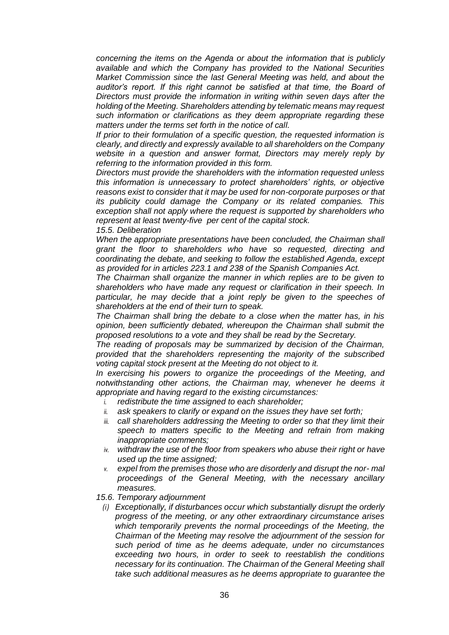*concerning the items on the Agenda or about the information that is publicly available and which the Company has provided to the National Securities Market Commission since the last General Meeting was held, and about the auditor's report. If this right cannot be satisfied at that time, the Board of Directors must provide the information in writing within seven days after the holding of the Meeting. Shareholders attending by telematic means may request such information or clarifications as they deem appropriate regarding these matters under the terms set forth in the notice of call.*

*If prior to their formulation of a specific question, the requested information is clearly, and directly and expressly available to all shareholders on the Company website in a question and answer format, Directors may merely reply by referring to the information provided in this form.*

*Directors must provide the shareholders with the information requested unless this information is unnecessary to protect shareholders' rights, or objective reasons exist to consider that it may be used for non-corporate purposes or that its publicity could damage the Company or its related companies. This exception shall not apply where the request is supported by shareholders who represent at least twenty-five per cent of the capital stock.*

*15.5. Deliberation*

When the appropriate presentations have been concluded, the Chairman shall *grant the floor to shareholders who have so requested, directing and coordinating the debate, and seeking to follow the established Agenda, except as provided for in articles 223.1 and 238 of the Spanish Companies Act.*

*The Chairman shall organize the manner in which replies are to be given to shareholders who have made any request or clarification in their speech. In particular, he may decide that a joint reply be given to the speeches of shareholders at the end of their turn to speak.*

*The Chairman shall bring the debate to a close when the matter has, in his opinion, been sufficiently debated, whereupon the Chairman shall submit the proposed resolutions to a vote and they shall be read by the Secretary.*

*The reading of proposals may be summarized by decision of the Chairman, provided that the shareholders representing the majority of the subscribed voting capital stock present at the Meeting do not object to it.*

*In exercising his powers to organize the proceedings of the Meeting, and notwithstanding other actions, the Chairman may, whenever he deems it appropriate and having regard to the existing circumstances:*

- *i. redistribute the time assigned to each shareholder;*
- *ii. ask speakers to clarify or expand on the issues they have set forth;*
- *iii. call shareholders addressing the Meeting to order so that they limit their speech to matters specific to the Meeting and refrain from making inappropriate comments;*
- *iv. withdraw the use of the floor from speakers who abuse their right or have used up the time assigned;*
- *v. expel from the premises those who are disorderly and disrupt the nor- mal proceedings of the General Meeting, with the necessary ancillary measures.*

*15.6. Temporary adjournment*

*(i) Exceptionally, if disturbances occur which substantially disrupt the orderly progress of the meeting, or any other extraordinary circumstance arises which temporarily prevents the normal proceedings of the Meeting, the Chairman of the Meeting may resolve the adjournment of the session for such period of time as he deems adequate, under no circumstances exceeding two hours, in order to seek to reestablish the conditions necessary for its continuation. The Chairman of the General Meeting shall take such additional measures as he deems appropriate to guarantee the*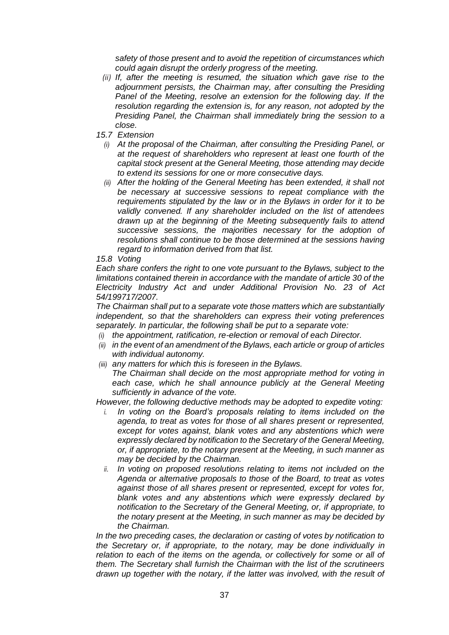*safety of those present and to avoid the repetition of circumstances which could again disrupt the orderly progress of the meeting.*

- *(ii) If, after the meeting is resumed, the situation which gave rise to the adjournment persists, the Chairman may, after consulting the Presiding Panel of the Meeting, resolve an extension for the following day. If the resolution regarding the extension is, for any reason, not adopted by the Presiding Panel, the Chairman shall immediately bring the session to a close.*
- *15.7 Extension*
	- *(i) At the proposal of the Chairman, after consulting the Presiding Panel, or at the request of shareholders who represent at least one fourth of the capital stock present at the General Meeting, those attending may decide to extend its sessions for one or more consecutive days.*
	- *(ii) After the holding of the General Meeting has been extended, it shall not be necessary at successive sessions to repeat compliance with the requirements stipulated by the law or in the Bylaws in order for it to be validly convened. If any shareholder included on the list of attendees drawn up at the beginning of the Meeting subsequently fails to attend successive sessions, the majorities necessary for the adoption of resolutions shall continue to be those determined at the sessions having regard to information derived from that list.*

## *15.8 Voting*

*Each share confers the right to one vote pursuant to the Bylaws, subject to the limitations contained therein in accordance with the mandate of article 30 of the Electricity Industry Act and under Additional Provision No. 23 of Act 54/199717/2007.*

*The Chairman shall put to a separate vote those matters which are substantially independent, so that the shareholders can express their voting preferences separately. In particular, the following shall be put to a separate vote:*

- *(i) the appointment, ratification, re-election or removal of each Director.*
- *(ii) in the event of an amendment of the Bylaws, each article or group of articles with individual autonomy.*
- *(iii) any matters for which this is foreseen in the Bylaws.*

*The Chairman shall decide on the most appropriate method for voting in*  each case, which he shall announce publicly at the General Meeting *sufficiently in advance of the vote.*

*However, the following deductive methods may be adopted to expedite voting:*

- *i. In voting on the Board's proposals relating to items included on the agenda, to treat as votes for those of all shares present or represented, except for votes against, blank votes and any abstentions which were expressly declared by notification to the Secretary of the General Meeting, or, if appropriate, to the notary present at the Meeting, in such manner as may be decided by the Chairman.*
- *ii. In voting on proposed resolutions relating to items not included on the Agenda or alternative proposals to those of the Board, to treat as votes against those of all shares present or represented, except for votes for, blank votes and any abstentions which were expressly declared by notification to the Secretary of the General Meeting, or, if appropriate, to the notary present at the Meeting, in such manner as may be decided by the Chairman.*

*In the two preceding cases, the declaration or casting of votes by notification to the Secretary or, if appropriate, to the notary, may be done individually in*  relation to each of the items on the agenda, or collectively for some or all of *them. The Secretary shall furnish the Chairman with the list of the scrutineers drawn up together with the notary, if the latter was involved, with the result of*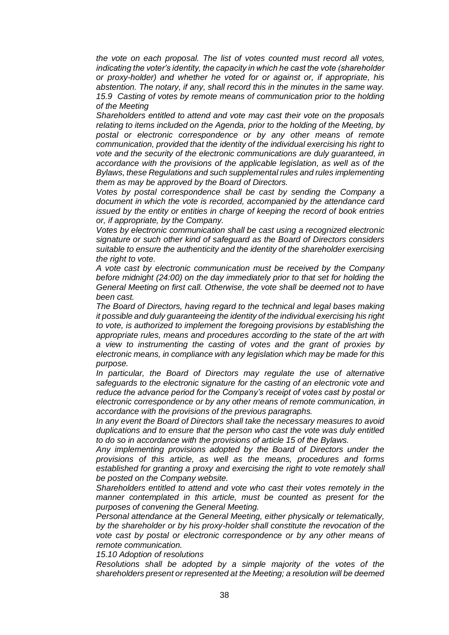*the vote on each proposal. The list of votes counted must record all votes, indicating the voter's identity, the capacity in which he cast the vote (shareholder or proxy-holder) and whether he voted for or against or, if appropriate, his abstention. The notary, if any, shall record this in the minutes in the same way. 15.9 Casting of votes by remote means of communication prior to the holding of the Meeting*

*Shareholders entitled to attend and vote may cast their vote on the proposals relating to items included on the Agenda, prior to the holding of the Meeting, by postal or electronic correspondence or by any other means of remote communication, provided that the identity of the individual exercising his right to vote and the security of the electronic communications are duly guaranteed, in accordance with the provisions of the applicable legislation, as well as of the Bylaws, these Regulations and such supplemental rules and rules implementing them as may be approved by the Board of Directors.*

*Votes by postal correspondence shall be cast by sending the Company a document in which the vote is recorded, accompanied by the attendance card issued by the entity or entities in charge of keeping the record of book entries or, if appropriate, by the Company.*

*Votes by electronic communication shall be cast using a recognized electronic signature or such other kind of safeguard as the Board of Directors considers suitable to ensure the authenticity and the identity of the shareholder exercising the right to vote.*

*A vote cast by electronic communication must be received by the Company before midnight (24:00) on the day immediately prior to that set for holding the General Meeting on first call. Otherwise, the vote shall be deemed not to have been cast.*

*The Board of Directors, having regard to the technical and legal bases making it possible and duly guaranteeing the identity of the individual exercising his right to vote, is authorized to implement the foregoing provisions by establishing the appropriate rules, means and procedures according to the state of the art with a view to instrumenting the casting of votes and the grant of proxies by electronic means, in compliance with any legislation which may be made for this purpose.*

*In particular, the Board of Directors may regulate the use of alternative safeguards to the electronic signature for the casting of an electronic vote and reduce the advance period for the Company's receipt of votes cast by postal or electronic correspondence or by any other means of remote communication, in accordance with the provisions of the previous paragraphs.*

*In any event the Board of Directors shall take the necessary measures to avoid duplications and to ensure that the person who cast the vote was duly entitled to do so in accordance with the provisions of article 15 of the Bylaws.*

*Any implementing provisions adopted by the Board of Directors under the provisions of this article, as well as the means, procedures and forms established for granting a proxy and exercising the right to vote remotely shall be posted on the Company website.*

*Shareholders entitled to attend and vote who cast their votes remotely in the manner contemplated in this article, must be counted as present for the purposes of convening the General Meeting.*

*Personal attendance at the General Meeting, either physically or telematically, by the shareholder or by his proxy-holder shall constitute the revocation of the vote cast by postal or electronic correspondence or by any other means of remote communication.*

*15.10 Adoption of resolutions*

*Resolutions shall be adopted by a simple majority of the votes of the shareholders present or represented at the Meeting; a resolution will be deemed*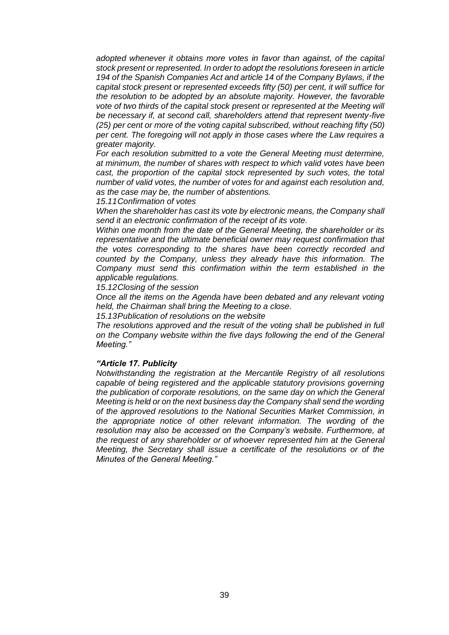*adopted whenever it obtains more votes in favor than against, of the capital stock present or represented. In order to adopt the resolutions foreseen in article 194 of the Spanish Companies Act and article 14 of the Company Bylaws, if the capital stock present or represented exceeds fifty (50) per cent, it will suffice for the resolution to be adopted by an absolute majority. However, the favorable*  vote of two thirds of the capital stock present or represented at the Meeting will *be necessary if, at second call, shareholders attend that represent twenty-five (25) per cent or more of the voting capital subscribed, without reaching fifty (50) per cent. The foregoing will not apply in those cases where the Law requires a greater majority.*

*For each resolution submitted to a vote the General Meeting must determine, at minimum, the number of shares with respect to which valid votes have been cast, the proportion of the capital stock represented by such votes, the total number of valid votes, the number of votes for and against each resolution and, as the case may be, the number of abstentions.*

*15.11Confirmation of votes*

*When the shareholder has cast its vote by electronic means, the Company shall send it an electronic confirmation of the receipt of its vote.*

*Within one month from the date of the General Meeting, the shareholder or its representative and the ultimate beneficial owner may request confirmation that the votes corresponding to the shares have been correctly recorded and counted by the Company, unless they already have this information. The Company must send this confirmation within the term established in the applicable regulations.*

*15.12Closing of the session*

*Once all the items on the Agenda have been debated and any relevant voting held, the Chairman shall bring the Meeting to a close.*

*15.13Publication of resolutions on the website*

*The resolutions approved and the result of the voting shall be published in full on the Company website within the five days following the end of the General Meeting."*

#### *"Article 17. Publicity*

*Notwithstanding the registration at the Mercantile Registry of all resolutions capable of being registered and the applicable statutory provisions governing the publication of corporate resolutions, on the same day on which the General Meeting is held or on the next business day the Company shall send the wording of the approved resolutions to the National Securities Market Commission, in the appropriate notice of other relevant information. The wording of the resolution may also be accessed on the Company's website. Furthermore, at the request of any shareholder or of whoever represented him at the General Meeting, the Secretary shall issue a certificate of the resolutions or of the Minutes of the General Meeting."*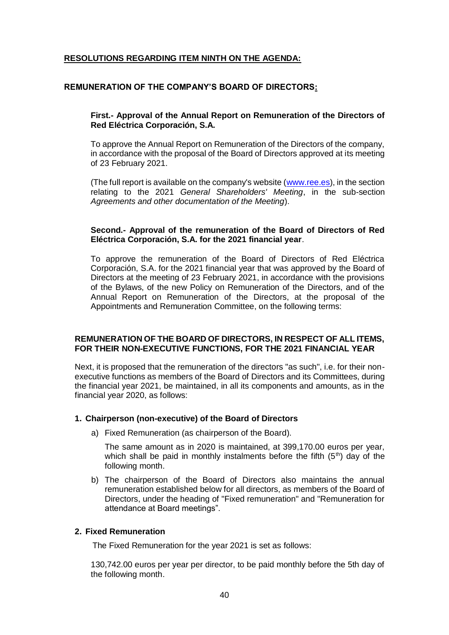# **RESOLUTIONS REGARDING ITEM NINTH ON THE AGENDA:**

## **REMUNERATION OF THE COMPANY'S BOARD OF DIRECTORS:**

## **First.- Approval of the Annual Report on Remuneration of the Directors of Red Eléctrica Corporación, S.A.**

To approve the Annual Report on Remuneration of the Directors of the company, in accordance with the proposal of the Board of Directors approved at its meeting of 23 February 2021.

(The full report is available on the company's website [\(www.ree.es\)](http://www.ree.es/), in the section relating to the 2021 *General Shareholders' Meeting*, in the sub-section *Agreements and other documentation of the Meeting*).

### **Second.- Approval of the remuneration of the Board of Directors of Red Eléctrica Corporación, S.A. for the 2021 financial year**.

To approve the remuneration of the Board of Directors of Red Eléctrica Corporación, S.A. for the 2021 financial year that was approved by the Board of Directors at the meeting of 23 February 2021, in accordance with the provisions of the Bylaws, of the new Policy on Remuneration of the Directors, and of the Annual Report on Remuneration of the Directors, at the proposal of the Appointments and Remuneration Committee, on the following terms:

## **REMUNERATION OF THE BOARD OF DIRECTORS, IN RESPECT OF ALL ITEMS, FOR THEIR NON-EXECUTIVE FUNCTIONS, FOR THE 2021 FINANCIAL YEAR**

Next, it is proposed that the remuneration of the directors "as such", i.e. for their nonexecutive functions as members of the Board of Directors and its Committees, during the financial year 2021, be maintained, in all its components and amounts, as in the financial year 2020, as follows:

#### **1. Chairperson (non-executive) of the Board of Directors**

a) Fixed Remuneration (as chairperson of the Board).

The same amount as in 2020 is maintained, at 399,170.00 euros per year, which shall be paid in monthly instalments before the fifth  $(5<sup>th</sup>)$  day of the following month.

b) The chairperson of the Board of Directors also maintains the annual remuneration established below for all directors, as members of the Board of Directors, under the heading of "Fixed remuneration" and "Remuneration for attendance at Board meetings".

#### **2. Fixed Remuneration**

The Fixed Remuneration for the year 2021 is set as follows:

130,742.00 euros per year per director, to be paid monthly before the 5th day of the following month.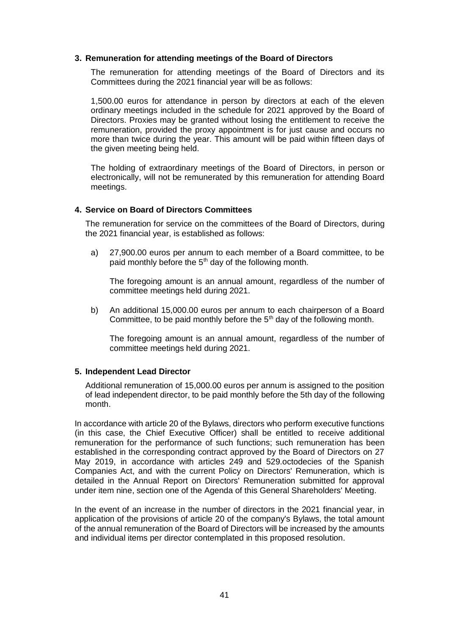### **3. Remuneration for attending meetings of the Board of Directors**

The remuneration for attending meetings of the Board of Directors and its Committees during the 2021 financial year will be as follows:

1,500.00 euros for attendance in person by directors at each of the eleven ordinary meetings included in the schedule for 2021 approved by the Board of Directors. Proxies may be granted without losing the entitlement to receive the remuneration, provided the proxy appointment is for just cause and occurs no more than twice during the year. This amount will be paid within fifteen days of the given meeting being held.

The holding of extraordinary meetings of the Board of Directors, in person or electronically, will not be remunerated by this remuneration for attending Board meetings.

### **4. Service on Board of Directors Committees**

The remuneration for service on the committees of the Board of Directors, during the 2021 financial year, is established as follows:

a) 27,900.00 euros per annum to each member of a Board committee, to be paid monthly before the 5<sup>th</sup> day of the following month.

The foregoing amount is an annual amount, regardless of the number of committee meetings held during 2021.

b) An additional 15,000.00 euros per annum to each chairperson of a Board Committee, to be paid monthly before the  $5<sup>th</sup>$  day of the following month.

The foregoing amount is an annual amount, regardless of the number of committee meetings held during 2021.

#### **5. Independent Lead Director**

Additional remuneration of 15,000.00 euros per annum is assigned to the position of lead independent director, to be paid monthly before the 5th day of the following month.

In accordance with article 20 of the Bylaws, directors who perform executive functions (in this case, the Chief Executive Officer) shall be entitled to receive additional remuneration for the performance of such functions; such remuneration has been established in the corresponding contract approved by the Board of Directors on 27 May 2019, in accordance with articles 249 and 529.octodecies of the Spanish Companies Act, and with the current Policy on Directors' Remuneration, which is detailed in the Annual Report on Directors' Remuneration submitted for approval under item nine, section one of the Agenda of this General Shareholders' Meeting.

In the event of an increase in the number of directors in the 2021 financial year, in application of the provisions of article 20 of the company's Bylaws, the total amount of the annual remuneration of the Board of Directors will be increased by the amounts and individual items per director contemplated in this proposed resolution.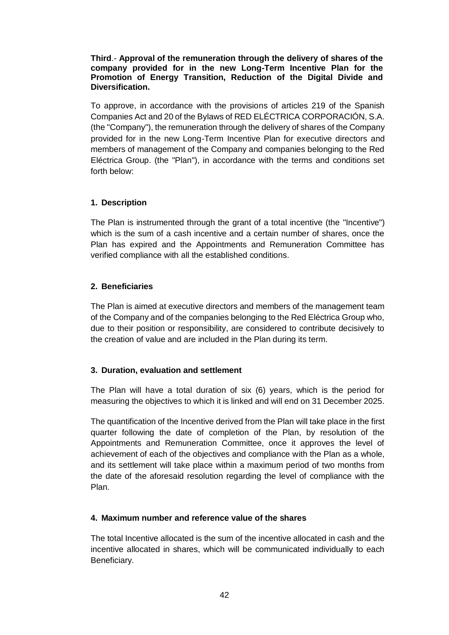## **Third**.- **Approval of the remuneration through the delivery of shares of the company provided for in the new Long-Term Incentive Plan for the Promotion of Energy Transition, Reduction of the Digital Divide and Diversification.**

To approve, in accordance with the provisions of articles 219 of the Spanish Companies Act and 20 of the Bylaws of RED ELÉCTRICA CORPORACIÓN, S.A. (the "Company"), the remuneration through the delivery of shares of the Company provided for in the new Long-Term Incentive Plan for executive directors and members of management of the Company and companies belonging to the Red Eléctrica Group. (the "Plan"), in accordance with the terms and conditions set forth below:

# **1. Description**

The Plan is instrumented through the grant of a total incentive (the "Incentive") which is the sum of a cash incentive and a certain number of shares, once the Plan has expired and the Appointments and Remuneration Committee has verified compliance with all the established conditions.

# **2. Beneficiaries**

The Plan is aimed at executive directors and members of the management team of the Company and of the companies belonging to the Red Eléctrica Group who, due to their position or responsibility, are considered to contribute decisively to the creation of value and are included in the Plan during its term.

# **3. Duration, evaluation and settlement**

The Plan will have a total duration of six (6) years, which is the period for measuring the objectives to which it is linked and will end on 31 December 2025.

The quantification of the Incentive derived from the Plan will take place in the first quarter following the date of completion of the Plan, by resolution of the Appointments and Remuneration Committee, once it approves the level of achievement of each of the objectives and compliance with the Plan as a whole, and its settlement will take place within a maximum period of two months from the date of the aforesaid resolution regarding the level of compliance with the Plan.

# **4. Maximum number and reference value of the shares**

The total Incentive allocated is the sum of the incentive allocated in cash and the incentive allocated in shares, which will be communicated individually to each Beneficiary.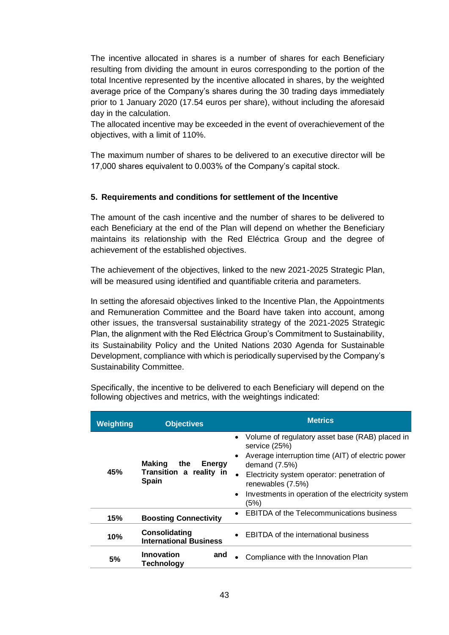The incentive allocated in shares is a number of shares for each Beneficiary resulting from dividing the amount in euros corresponding to the portion of the total Incentive represented by the incentive allocated in shares, by the weighted average price of the Company's shares during the 30 trading days immediately prior to 1 January 2020 (17.54 euros per share), without including the aforesaid day in the calculation.

The allocated incentive may be exceeded in the event of overachievement of the objectives, with a limit of 110%.

The maximum number of shares to be delivered to an executive director will be 17,000 shares equivalent to 0.003% of the Company's capital stock.

# **5. Requirements and conditions for settlement of the Incentive**

The amount of the cash incentive and the number of shares to be delivered to each Beneficiary at the end of the Plan will depend on whether the Beneficiary maintains its relationship with the Red Eléctrica Group and the degree of achievement of the established objectives.

The achievement of the objectives, linked to the new 2021-2025 Strategic Plan, will be measured using identified and quantifiable criteria and parameters.

In setting the aforesaid objectives linked to the Incentive Plan, the Appointments and Remuneration Committee and the Board have taken into account, among other issues, the transversal sustainability strategy of the 2021-2025 Strategic Plan, the alignment with the Red Eléctrica Group's Commitment to Sustainability, its Sustainability Policy and the United Nations 2030 Agenda for Sustainable Development, compliance with which is periodically supervised by the Company's Sustainability Committee.

| <b>Weighting</b>                     | <b>Objectives</b>                              | <b>Metrics</b>                                                       |  |
|--------------------------------------|------------------------------------------------|----------------------------------------------------------------------|--|
| <b>Making</b><br>45%<br><b>Spain</b> |                                                | Volume of regulatory asset base (RAB) placed in<br>service (25%)     |  |
|                                      | the<br><b>Energy</b>                           | Average interruption time (AIT) of electric power<br>demand $(7.5%)$ |  |
|                                      | Transition a reality in                        | Electricity system operator: penetration of<br>renewables (7.5%)     |  |
|                                      |                                                | Investments in operation of the electricity system<br>(5%)           |  |
| 15%                                  | <b>Boosting Connectivity</b>                   | <b>EBITDA</b> of the Telecommunications business                     |  |
| 10%                                  | Consolidating<br><b>International Business</b> | EBITDA of the international business                                 |  |
| 5%                                   | Innovation<br>and<br>Technology                | Compliance with the Innovation Plan                                  |  |

Specifically, the incentive to be delivered to each Beneficiary will depend on the following objectives and metrics, with the weightings indicated: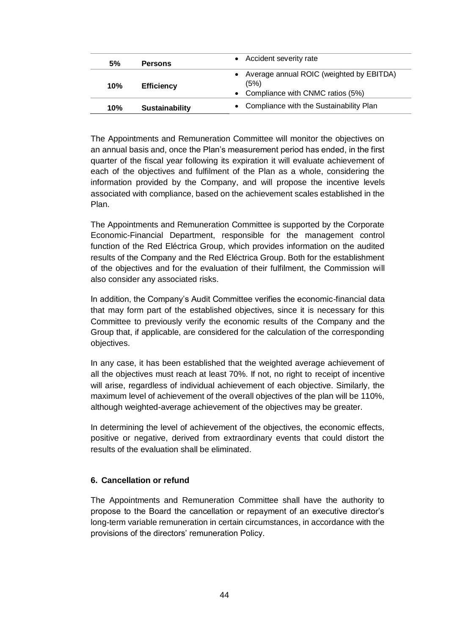| 5%  | <b>Persons</b>        | • Accident severity rate                                                               |
|-----|-----------------------|----------------------------------------------------------------------------------------|
| 10% | <b>Efficiency</b>     | Average annual ROIC (weighted by EBITDA)<br>(5%)<br>• Compliance with CNMC ratios (5%) |
| 10% | <b>Sustainability</b> | • Compliance with the Sustainability Plan                                              |

The Appointments and Remuneration Committee will monitor the objectives on an annual basis and, once the Plan's measurement period has ended, in the first quarter of the fiscal year following its expiration it will evaluate achievement of each of the objectives and fulfilment of the Plan as a whole, considering the information provided by the Company, and will propose the incentive levels associated with compliance, based on the achievement scales established in the Plan.

The Appointments and Remuneration Committee is supported by the Corporate Economic-Financial Department, responsible for the management control function of the Red Eléctrica Group, which provides information on the audited results of the Company and the Red Eléctrica Group. Both for the establishment of the objectives and for the evaluation of their fulfilment, the Commission will also consider any associated risks.

In addition, the Company's Audit Committee verifies the economic-financial data that may form part of the established objectives, since it is necessary for this Committee to previously verify the economic results of the Company and the Group that, if applicable, are considered for the calculation of the corresponding objectives.

In any case, it has been established that the weighted average achievement of all the objectives must reach at least 70%. If not, no right to receipt of incentive will arise, regardless of individual achievement of each objective. Similarly, the maximum level of achievement of the overall objectives of the plan will be 110%, although weighted-average achievement of the objectives may be greater.

In determining the level of achievement of the objectives, the economic effects, positive or negative, derived from extraordinary events that could distort the results of the evaluation shall be eliminated.

## **6. Cancellation or refund**

The Appointments and Remuneration Committee shall have the authority to propose to the Board the cancellation or repayment of an executive director's long-term variable remuneration in certain circumstances, in accordance with the provisions of the directors' remuneration Policy.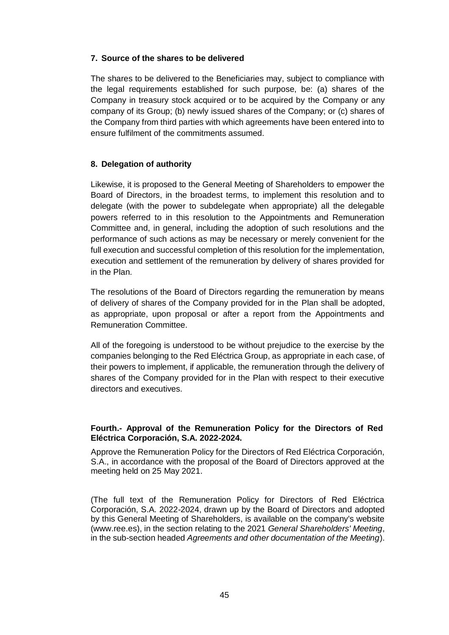# **7. Source of the shares to be delivered**

The shares to be delivered to the Beneficiaries may, subject to compliance with the legal requirements established for such purpose, be: (a) shares of the Company in treasury stock acquired or to be acquired by the Company or any company of its Group; (b) newly issued shares of the Company; or (c) shares of the Company from third parties with which agreements have been entered into to ensure fulfilment of the commitments assumed.

# **8. Delegation of authority**

Likewise, it is proposed to the General Meeting of Shareholders to empower the Board of Directors, in the broadest terms, to implement this resolution and to delegate (with the power to subdelegate when appropriate) all the delegable powers referred to in this resolution to the Appointments and Remuneration Committee and, in general, including the adoption of such resolutions and the performance of such actions as may be necessary or merely convenient for the full execution and successful completion of this resolution for the implementation, execution and settlement of the remuneration by delivery of shares provided for in the Plan.

The resolutions of the Board of Directors regarding the remuneration by means of delivery of shares of the Company provided for in the Plan shall be adopted, as appropriate, upon proposal or after a report from the Appointments and Remuneration Committee.

All of the foregoing is understood to be without prejudice to the exercise by the companies belonging to the Red Eléctrica Group, as appropriate in each case, of their powers to implement, if applicable, the remuneration through the delivery of shares of the Company provided for in the Plan with respect to their executive directors and executives.

# **Fourth.- Approval of the Remuneration Policy for the Directors of Red Eléctrica Corporación, S.A. 2022-2024.**

Approve the Remuneration Policy for the Directors of Red Eléctrica Corporación, S.A., in accordance with the proposal of the Board of Directors approved at the meeting held on 25 May 2021.

(The full text of the Remuneration Policy for Directors of Red Eléctrica Corporación, S.A. 2022-2024, drawn up by the Board of Directors and adopted by this General Meeting of Shareholders, is available on the company's website (www.ree.es), in the section relating to the 2021 *General Shareholders' Meeting*, in the sub-section headed *Agreements and other documentation of the Meeting*).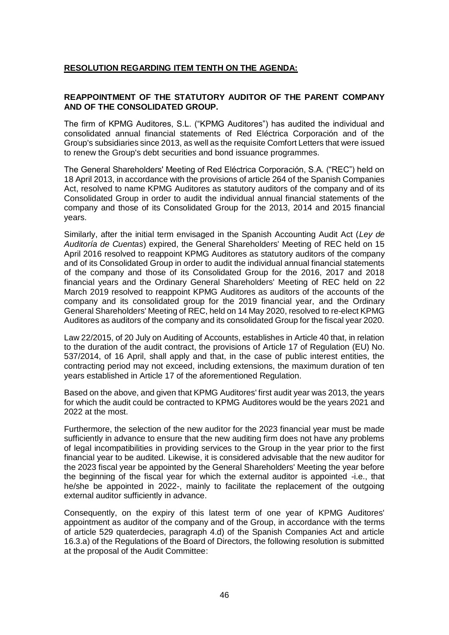# **RESOLUTION REGARDING ITEM TENTH ON THE AGENDA:**

## **REAPPOINTMENT OF THE STATUTORY AUDITOR OF THE PARENT COMPANY AND OF THE CONSOLIDATED GROUP.**

The firm of KPMG Auditores, S.L. ("KPMG Auditores") has audited the individual and consolidated annual financial statements of Red Eléctrica Corporación and of the Group's subsidiaries since 2013, as well as the requisite Comfort Letters that were issued to renew the Group's debt securities and bond issuance programmes.

The General Shareholders' Meeting of Red Eléctrica Corporación, S.A. ("REC") held on 18 April 2013, in accordance with the provisions of article 264 of the Spanish Companies Act, resolved to name KPMG Auditores as statutory auditors of the company and of its Consolidated Group in order to audit the individual annual financial statements of the company and those of its Consolidated Group for the 2013, 2014 and 2015 financial years.

Similarly, after the initial term envisaged in the Spanish Accounting Audit Act (*Ley de Auditoría de Cuentas*) expired, the General Shareholders' Meeting of REC held on 15 April 2016 resolved to reappoint KPMG Auditores as statutory auditors of the company and of its Consolidated Group in order to audit the individual annual financial statements of the company and those of its Consolidated Group for the 2016, 2017 and 2018 financial years and the Ordinary General Shareholders' Meeting of REC held on 22 March 2019 resolved to reappoint KPMG Auditores as auditors of the accounts of the company and its consolidated group for the 2019 financial year, and the Ordinary General Shareholders' Meeting of REC, held on 14 May 2020, resolved to re-elect KPMG Auditores as auditors of the company and its consolidated Group for the fiscal year 2020.

Law 22/2015, of 20 July on Auditing of Accounts, establishes in Article 40 that, in relation to the duration of the audit contract, the provisions of Article 17 of Regulation (EU) No. 537/2014, of 16 April, shall apply and that, in the case of public interest entities, the contracting period may not exceed, including extensions, the maximum duration of ten years established in Article 17 of the aforementioned Regulation.

Based on the above, and given that KPMG Auditores' first audit year was 2013, the years for which the audit could be contracted to KPMG Auditores would be the years 2021 and 2022 at the most.

Furthermore, the selection of the new auditor for the 2023 financial year must be made sufficiently in advance to ensure that the new auditing firm does not have any problems of legal incompatibilities in providing services to the Group in the year prior to the first financial year to be audited. Likewise, it is considered advisable that the new auditor for the 2023 fiscal year be appointed by the General Shareholders' Meeting the year before the beginning of the fiscal year for which the external auditor is appointed -i.e., that he/she be appointed in 2022-, mainly to facilitate the replacement of the outgoing external auditor sufficiently in advance.

Consequently, on the expiry of this latest term of one year of KPMG Auditores' appointment as auditor of the company and of the Group, in accordance with the terms of article 529 quaterdecies, paragraph 4.d) of the Spanish Companies Act and article 16.3.a) of the Regulations of the Board of Directors, the following resolution is submitted at the proposal of the Audit Committee: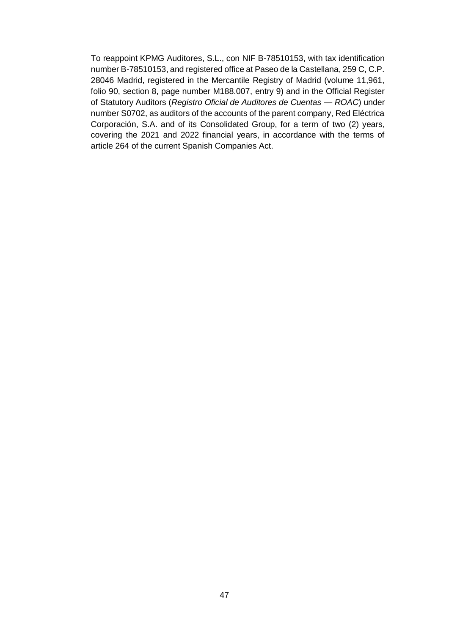To reappoint KPMG Auditores, S.L., con NIF B-78510153, with tax identification number B-78510153, and registered office at Paseo de la Castellana, 259 C, C.P. 28046 Madrid, registered in the Mercantile Registry of Madrid (volume 11,961, folio 90, section 8, page number M188.007, entry 9) and in the Official Register of Statutory Auditors (*Registro Oficial de Auditores de Cuentas — ROAC*) under number S0702, as auditors of the accounts of the parent company, Red Eléctrica Corporación, S.A. and of its Consolidated Group, for a term of two (2) years, covering the 2021 and 2022 financial years, in accordance with the terms of article 264 of the current Spanish Companies Act.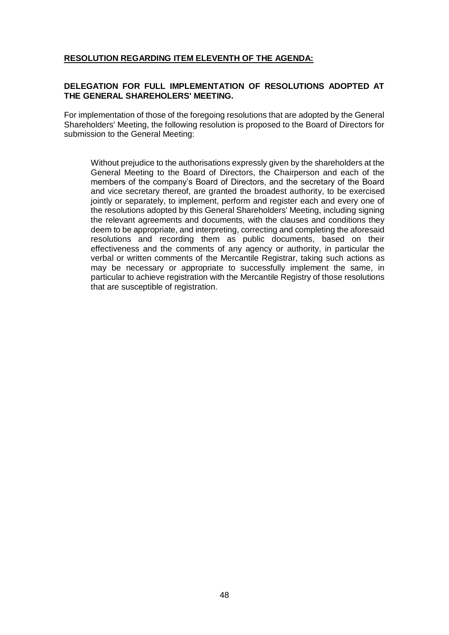# **RESOLUTION REGARDING ITEM ELEVENTH OF THE AGENDA:**

## **DELEGATION FOR FULL IMPLEMENTATION OF RESOLUTIONS ADOPTED AT THE GENERAL SHAREHOLERS' MEETING.**

For implementation of those of the foregoing resolutions that are adopted by the General Shareholders' Meeting, the following resolution is proposed to the Board of Directors for submission to the General Meeting:

Without prejudice to the authorisations expressly given by the shareholders at the General Meeting to the Board of Directors, the Chairperson and each of the members of the company's Board of Directors, and the secretary of the Board and vice secretary thereof, are granted the broadest authority, to be exercised jointly or separately, to implement, perform and register each and every one of the resolutions adopted by this General Shareholders' Meeting, including signing the relevant agreements and documents, with the clauses and conditions they deem to be appropriate, and interpreting, correcting and completing the aforesaid resolutions and recording them as public documents, based on their effectiveness and the comments of any agency or authority, in particular the verbal or written comments of the Mercantile Registrar, taking such actions as may be necessary or appropriate to successfully implement the same, in particular to achieve registration with the Mercantile Registry of those resolutions that are susceptible of registration.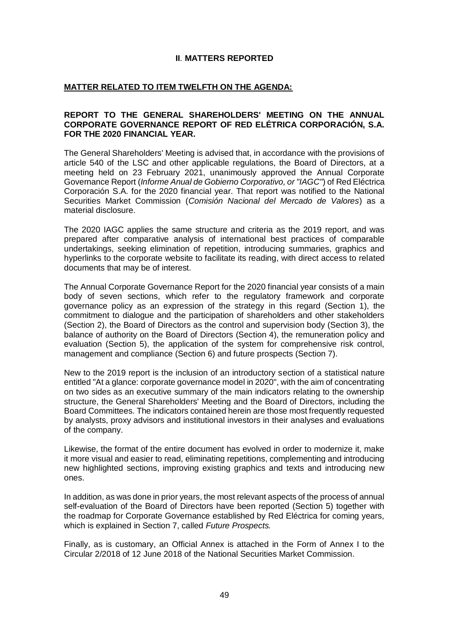## **II**. **MATTERS REPORTED**

## **MATTER RELATED TO ITEM TWELFTH ON THE AGENDA:**

### **REPORT TO THE GENERAL SHAREHOLDERS' MEETING ON THE ANNUAL CORPORATE GOVERNANCE REPORT OF RED ELÉTRICA CORPORACIÓN, S.A. FOR THE 2020 FINANCIAL YEAR.**

The General Shareholders' Meeting is advised that, in accordance with the provisions of article 540 of the LSC and other applicable regulations, the Board of Directors, at a meeting held on 23 February 2021, unanimously approved the Annual Corporate Governance Report (*Informe Anual de Gobierno Corporativo, or "IAGC"*) of Red Eléctrica Corporación S.A. for the 2020 financial year. That report was notified to the National Securities Market Commission (*Comisión Nacional del Mercado de Valores*) as a material disclosure.

The 2020 IAGC applies the same structure and criteria as the 2019 report, and was prepared after comparative analysis of international best practices of comparable undertakings, seeking elimination of repetition, introducing summaries, graphics and hyperlinks to the corporate website to facilitate its reading, with direct access to related documents that may be of interest.

The Annual Corporate Governance Report for the 2020 financial year consists of a main body of seven sections, which refer to the regulatory framework and corporate governance policy as an expression of the strategy in this regard (Section 1), the commitment to dialogue and the participation of shareholders and other stakeholders (Section 2), the Board of Directors as the control and supervision body (Section 3), the balance of authority on the Board of Directors (Section 4), the remuneration policy and evaluation (Section 5), the application of the system for comprehensive risk control, management and compliance (Section 6) and future prospects (Section 7).

New to the 2019 report is the inclusion of an introductory section of a statistical nature entitled "At a glance: corporate governance model in 2020", with the aim of concentrating on two sides as an executive summary of the main indicators relating to the ownership structure, the General Shareholders' Meeting and the Board of Directors, including the Board Committees. The indicators contained herein are those most frequently requested by analysts, proxy advisors and institutional investors in their analyses and evaluations of the company.

Likewise, the format of the entire document has evolved in order to modernize it, make it more visual and easier to read, eliminating repetitions, complementing and introducing new highlighted sections, improving existing graphics and texts and introducing new ones.

In addition, as was done in prior years, the most relevant aspects of the process of annual self-evaluation of the Board of Directors have been reported (Section 5) together with the roadmap for Corporate Governance established by Red Eléctrica for coming years, which is explained in Section 7, called *Future Prospects.*

Finally, as is customary, an Official Annex is attached in the Form of Annex I to the Circular 2/2018 of 12 June 2018 of the National Securities Market Commission.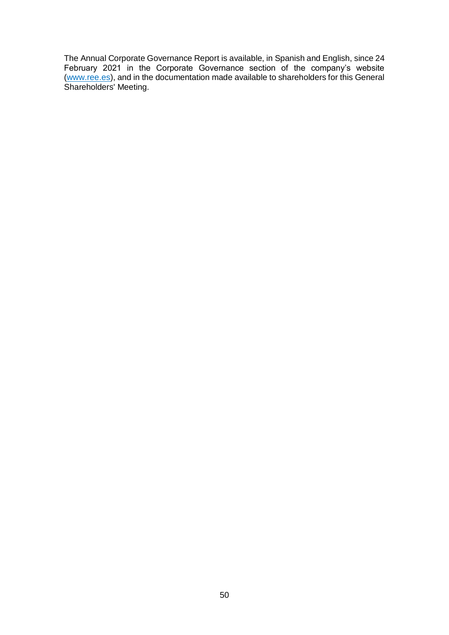The Annual Corporate Governance Report is available, in Spanish and English, since 24 February 2021 in the Corporate Governance section of the company's website [\(www.ree.es\)](http://www.ree.es/), and in the documentation made available to shareholders for this General Shareholders' Meeting.